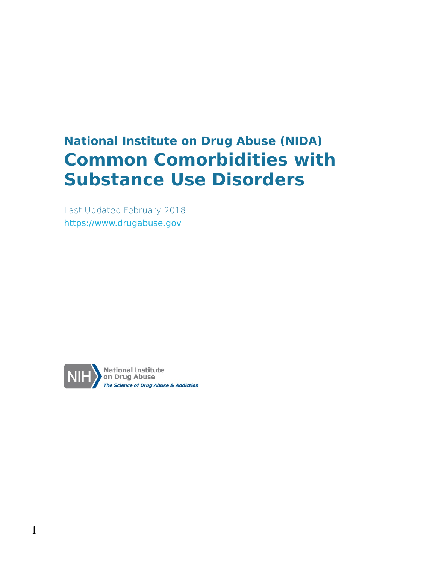## **National Institute on Drug Abuse (NIDA) Common Comorbidities with Substance Use Disorders**

Last Updated February 2018 [https://www.drugabuse.gov](https://www.drugabuse.gov/)

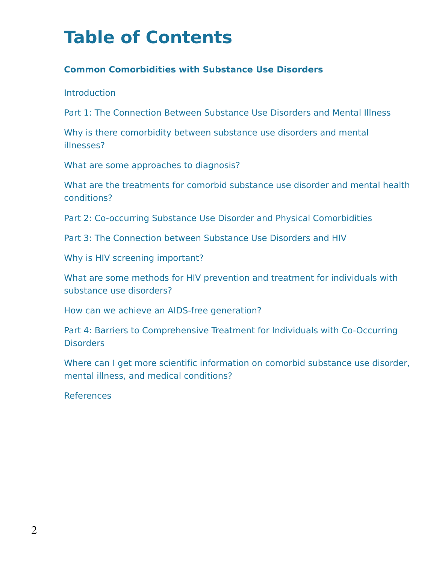## **Table of Contents**

#### **Common Comorbidities with Substance Use Disorders**

**Introduction** 

Part 1: The Connection Between Substance Use Disorders and Mental Illness

Why is there comorbidity between substance use disorders and mental illnesses?

What are some approaches to diagnosis?

What are the treatments for comorbid substance use disorder and mental health conditions?

Part 2: Co-occurring Substance Use Disorder and Physical Comorbidities

Part 3: The Connection between Substance Use Disorders and HIV

Why is HIV screening important?

What are some methods for HIV prevention and treatment for individuals with substance use disorders?

How can we achieve an AIDS-free generation?

Part 4: Barriers to Comprehensive Treatment for Individuals with Co-Occurring Disorders

Where can I get more scientific information on comorbid substance use disorder, mental illness, and medical conditions?

**References**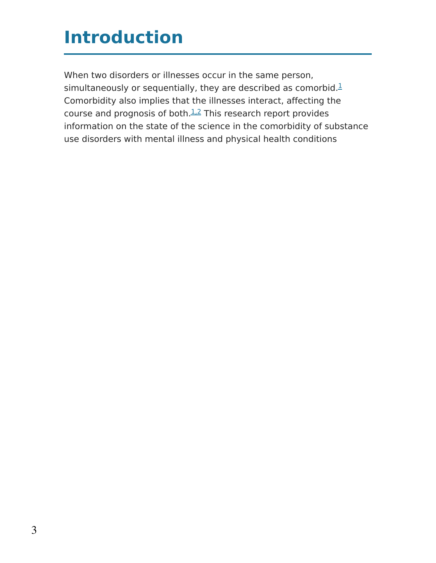## **Introduction**

When two disorders or illnesses occur in the same person, simultaneously or sequentially, they are described as comorbid.<sup>[1](https://www.drugabuse.gov/publications/research-reports/common-comorbidities-substance-use-disorders/references)</sup> Comorbidity also implies that the illnesses interact, affecting the course and prognosis of both. $1.2$  This research report provides information on the state of the science in the comorbidity of substance use disorders with mental illness and physical health conditions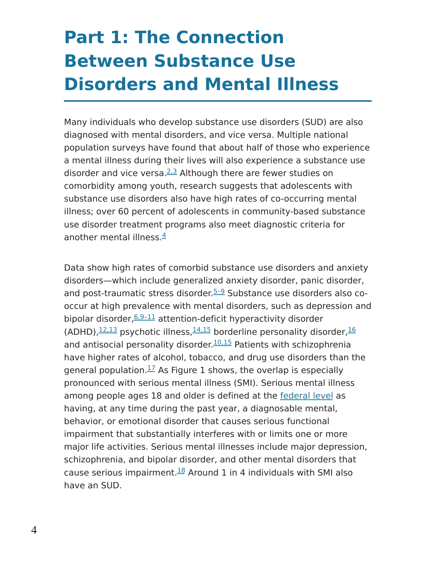# **Part 1: The Connection Between Substance Use Disorders and Mental Illness**

Many individuals who develop substance use disorders (SUD) are also diagnosed with mental disorders, and vice versa. Multiple national population surveys have found that about half of those who experience a mental illness during their lives will also experience a substance use disorder and vice versa.<sup>[2,3](https://www.drugabuse.gov/publications/research-reports/common-comorbidities-substance-use-disorders/references)</sup> Although there are fewer studies on comorbidity among youth, research suggests that adolescents with substance use disorders also have high rates of co-occurring mental illness; over 60 percent of adolescents in community-based substance use disorder treatment programs also meet diagnostic criteria for another mental illness.<sup>[4](https://www.drugabuse.gov/publications/research-reports/common-comorbidities-substance-use-disorders/references)</sup>

Data show high rates of comorbid substance use disorders and anxiety disorders—which include generalized anxiety disorder, panic disorder, and post-traumatic stress disorder.<sup>[5–9](https://www.drugabuse.gov/publications/research-reports/common-comorbidities-substance-use-disorders/references)</sup> Substance use disorders also cooccur at high prevalence with mental disorders, such as depression and bipolar disorder, 6,9-11 attention-deficit hyperactivity disorder (ADHD), $\frac{12,13}{16}$  $\frac{12,13}{16}$  $\frac{12,13}{16}$  $\frac{12,13}{16}$  $\frac{12,13}{16}$  psychotic illness, $\frac{14,15}{16}$  $\frac{14,15}{16}$  $\frac{14,15}{16}$  borderline personality disorder, $\frac{16}{16}$ and antisocial personality disorder.<sup>[10,15](https://www.drugabuse.gov/publications/research-reports/common-comorbidities-substance-use-disorders/references)</sup> Patients with schizophrenia have higher rates of alcohol, tobacco, and drug use disorders than the general population. $1/2$  As Figure 1 shows, the overlap is especially pronounced with serious mental illness (SMI). Serious mental illness among people ages 18 and older is defined at the [federal](https://www.gpo.gov/fdsys/pkg/FR-1999-06-24/html/99-15377.htm) level as having, at any time during the past year, a diagnosable mental, behavior, or emotional disorder that causes serious functional impairment that substantially interferes with or limits one or more major life activities. Serious mental illnesses include major depression, schizophrenia, and bipolar disorder, and other mental disorders that cause serious impairment. $^{18}$  $^{18}$  $^{18}$  Around 1 in 4 individuals with SMI also have an SUD.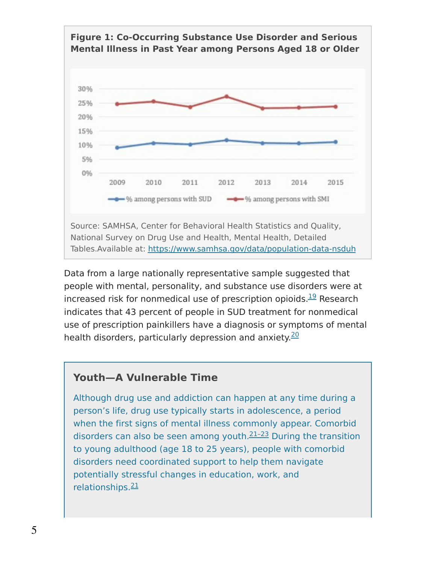

Data from a large nationally representative sample suggested that people with mental, personality, and substance use disorders were at increased risk for nonmedical use of prescription opioids. $^{19}$  $^{19}$  $^{19}$  Research indicates that 43 percent of people in SUD treatment for nonmedical use of prescription painkillers have a diagnosis or symptoms of mental health disorders, particularly depression and anxiety.<sup>[20](https://www.drugabuse.gov/publications/research-reports/common-comorbidities-substance-use-disorders/references)</sup>

#### **Youth—A Vulnerable Time**

Although drug use and addiction can happen at any time during a person's life, drug use typically starts in adolescence, a period when the first signs of mental illness commonly appear. Comorbid disorders can also be seen among youth. $21-23$  During the transition to young adulthood (age 18 to 25 years), people with comorbid disorders need coordinated support to help them navigate potentially stressful changes in education, work, and relationships.<sup>[21](https://www.drugabuse.gov/publications/research-reports/common-comorbidities-substance-use-disorders/references)</sup>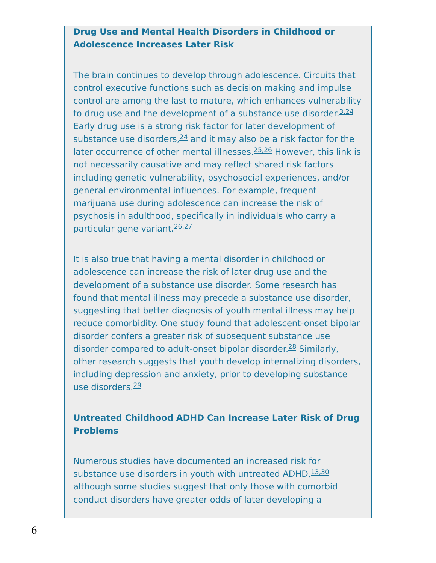#### **Drug Use and Mental Health Disorders in Childhood or Adolescence Increases Later Risk**

The brain continues to develop through adolescence. Circuits that control executive functions such as decision making and impulse control are among the last to mature, which enhances vulnerability to drug use and the development of a substance use disorder.<sup>[3,24](https://www.drugabuse.gov/publications/research-reports/common-comorbidities-substance-use-disorders/references)</sup> Early drug use is a strong risk factor for later development of substance use disorders, $24$  and it may also be a risk factor for the later occurrence of other mental illnesses.<sup>[25,26](https://www.drugabuse.gov/publications/research-reports/common-comorbidities-substance-use-disorders/references)</sup> However, this link is not necessarily causative and may reflect shared risk factors including genetic vulnerability, psychosocial experiences, and/or general environmental influences. For example, frequent marijuana use during adolescence can increase the risk of psychosis in adulthood, specifically in individuals who carry a particular gene variant.<sup>[26,27](https://www.drugabuse.gov/publications/research-reports/common-comorbidities-substance-use-disorders/references)</sup>

It is also true that having a mental disorder in childhood or adolescence can increase the risk of later drug use and the development of a substance use disorder. Some research has found that mental illness may precede a substance use disorder, suggesting that better diagnosis of youth mental illness may help reduce comorbidity. One study found that adolescent-onset bipolar disorder confers a greater risk of subsequent substance use disorder compared to adult-onset bipolar disorder.<sup>[28](https://www.drugabuse.gov/publications/research-reports/common-comorbidities-substance-use-disorders/references)</sup> Similarly, other research suggests that youth develop internalizing disorders, including depression and anxiety, prior to developing substance use disorders.<sup>[29](https://www.drugabuse.gov/publications/research-reports/common-comorbidities-substance-use-disorders/references)</sup>

#### **Untreated Childhood ADHD Can Increase Later Risk of Drug Problems**

Numerous studies have documented an increased risk for substance use disorders in youth with untreated ADHD, [13,30](https://www.drugabuse.gov/publications/research-reports/common-comorbidities-substance-use-disorders/references) although some studies suggest that only those with comorbid conduct disorders have greater odds of later developing a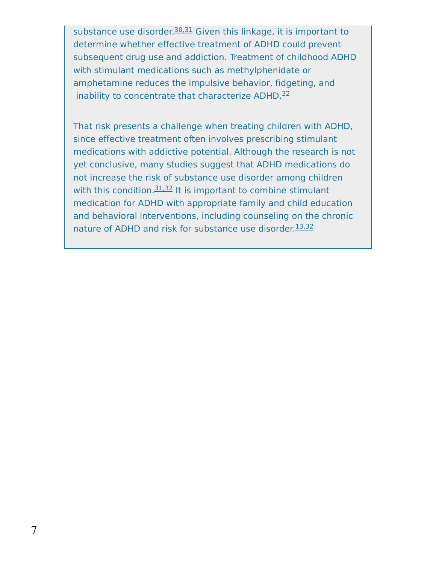substance use disorder.<sup>[30,31](https://www.drugabuse.gov/publications/research-reports/common-comorbidities-substance-use-disorders/references)</sup> Given this linkage, it is important to determine whether effective treatment of ADHD could prevent subsequent drug use and addiction. Treatment of childhood ADHD with stimulant medications such as methylphenidate or amphetamine reduces the impulsive behavior, fidgeting, and inability to concentrate that characterize ADHD.<sup>[32](https://www.drugabuse.gov/publications/research-reports/common-comorbidities-substance-use-disorders/references)</sup>

That risk presents a challenge when treating children with ADHD, since effective treatment often involves prescribing stimulant medications with addictive potential. Although the research is not yet conclusive, many studies suggest that ADHD medications do not increase the risk of substance use disorder among children with this condition.<sup>[31,32](https://www.drugabuse.gov/publications/research-reports/common-comorbidities-substance-use-disorders/references)</sup> It is important to combine stimulant medication for ADHD with appropriate family and child education and behavioral interventions, including counseling on the chronic nature of ADHD and risk for substance use disorder.<sup>[13,32](https://www.drugabuse.gov/publications/research-reports/common-comorbidities-substance-use-disorders/references)</sup>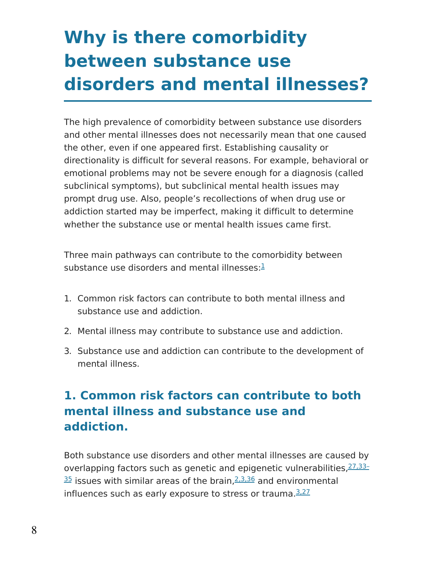# **Why is there comorbidity between substance use disorders and mental illnesses?**

The high prevalence of comorbidity between substance use disorders and other mental illnesses does not necessarily mean that one caused the other, even if one appeared first. Establishing causality or directionality is difficult for several reasons. For example, behavioral or emotional problems may not be severe enough for a diagnosis (called subclinical symptoms), but subclinical mental health issues may prompt drug use. Also, people's recollections of when drug use or addiction started may be imperfect, making it difficult to determine whether the substance use or mental health issues came first.

Three main pathways can contribute to the comorbidity between substance use disorders and mental illnesses:<sup>[1](https://www.drugabuse.gov/publications/research-reports/common-comorbidities-substance-use-disorders/references)</sup>

- 1. Common risk factors can contribute to both mental illness and substance use and addiction.
- 2. Mental illness may contribute to substance use and addiction.
- 3. Substance use and addiction can contribute to the development of mental illness.

## **1. Common risk factors can contribute to both mental illness and substance use and addiction.**

Both substance use disorders and other mental illnesses are caused by overlapping factors such as genetic and epigenetic [vulnerabilities,](https://www.drugabuse.gov/publications/research-reports/common-comorbidities-substance-use-disorders/references) 27, 33- $\frac{35}{2}$  issues with similar areas of the brain, $\frac{2.3,36}{2}$  and environmental influences such as early exposure to stress or trauma.<sup>[3,27](https://www.drugabuse.gov/publications/research-reports/common-comorbidities-substance-use-disorders/references)</sup>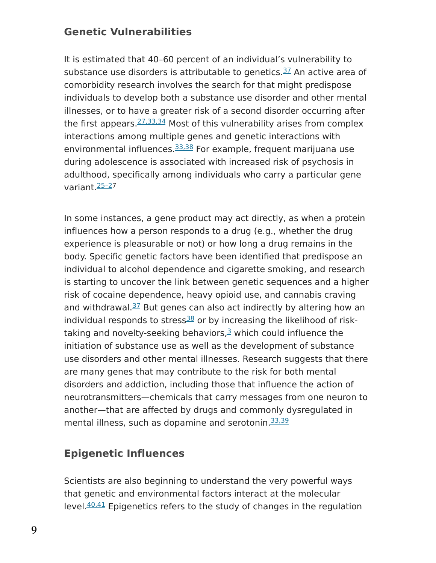### **Genetic Vulnerabilities**

It is estimated that 40–60 percent of an individual's vulnerability to substance use disorders is attributable to genetics.<sup>[37](https://www.drugabuse.gov/publications/research-reports/common-comorbidities-substance-use-disorders/references)</sup> An active area of comorbidity research involves the search for that might predispose individuals to develop both a substance use disorder and other mental illnesses, or to have a greater risk of a second disorder occurring after the first appears.<sup>[27,33,34](https://www.drugabuse.gov/publications/research-reports/common-comorbidities-substance-use-disorders/references)</sup> Most of this vulnerability arises from complex interactions among multiple genes and genetic interactions with environmental influences.<sup>[33,38](https://www.drugabuse.gov/publications/research-reports/common-comorbidities-substance-use-disorders/references)</sup> For example, frequent marijuana use during adolescence is associated with increased risk of psychosis in adulthood, specifically among individuals who carry a particular gene variant [25–27](https://www.drugabuse.gov/publications/research-reports/common-comorbidities-substance-use-disorders/references)

In some instances, a gene product may act directly, as when a protein influences how a person responds to a drug (e.g., whether the drug experience is pleasurable or not) or how long a drug remains in the body. Specific genetic factors have been identified that predispose an individual to alcohol dependence and cigarette smoking, and research is starting to uncover the link between genetic sequences and a higher risk of cocaine dependence, heavy opioid use, and cannabis craving and withdrawal.<sup>[37](https://www.drugabuse.gov/publications/research-reports/common-comorbidities-substance-use-disorders/references)</sup> But genes can also act indirectly by altering how an individual responds to stress $38$  or by increasing the likelihood of risktaking and novelty-seeking behaviors, $3$  which could influence the initiation of substance use as well as the development of substance use disorders and other mental illnesses. Research suggests that there are many genes that may contribute to the risk for both mental disorders and addiction, including those that influence the action of neurotransmitters—chemicals that carry messages from one neuron to another—that are affected by drugs and commonly dysregulated in mental illness, such as dopamine and serotonin.<sup>[33,39](https://www.drugabuse.gov/publications/research-reports/common-comorbidities-substance-use-disorders/references)</sup>

### **Epigenetic Influences**

Scientists are also beginning to understand the very powerful ways that genetic and environmental factors interact at the molecular level.<sup>[40,41](https://www.drugabuse.gov/publications/research-reports/common-comorbidities-substance-use-disorders/references)</sup> Epigenetics refers to the study of changes in the regulation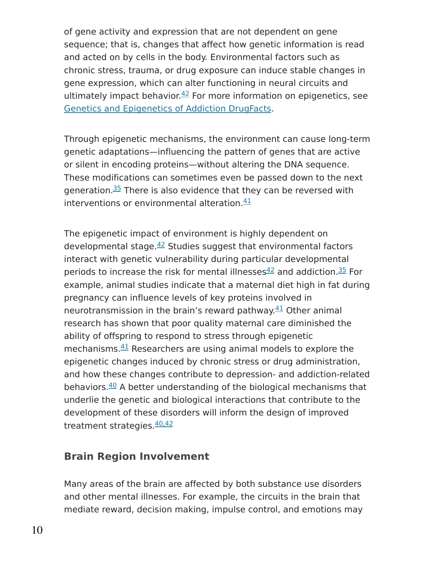of gene activity and expression that are not dependent on gene sequence; that is, changes that affect how genetic information is read and acted on by cells in the body. Environmental factors such as chronic stress, trauma, or drug exposure can induce stable changes in gene expression, which can alter functioning in neural circuits and ultimately impact behavior. $42$  For more information on epigenetics, see Genetics and [Epigenetics](https://www.drugabuse.gov/publications/drugfacts/genetics-epigenetics-addiction) of Addiction DrugFacts.

Through epigenetic mechanisms, the environment can cause long-term genetic adaptations—influencing the pattern of genes that are active or silent in encoding proteins—without altering the DNA sequence. These modifications can sometimes even be passed down to the next generation.<sup>[35](https://www.drugabuse.gov/publications/research-reports/common-comorbidities-substance-use-disorders/references)</sup> There is also evidence that they can be reversed with interventions or environmental alteration.<sup>[41](https://www.drugabuse.gov/publications/research-reports/common-comorbidities-substance-use-disorders/references)</sup>

The epigenetic impact of environment is highly dependent on developmental stage. $42$  Studies suggest that environmental factors interact with genetic vulnerability during particular developmental periods to increase the risk for mental illnesses $42$  and addiction.  $35$  For example, animal studies indicate that a maternal diet high in fat during pregnancy can influence levels of key proteins involved in neurotransmission in the brain's reward pathway.<sup>[41](https://www.drugabuse.gov/publications/research-reports/common-comorbidities-substance-use-disorders/references)</sup> Other animal research has shown that poor quality maternal care diminished the ability of offspring to respond to stress through epigenetic mechanisms. $41$  Researchers are using animal models to explore the epigenetic changes induced by chronic stress or drug administration, and how these changes contribute to depression- and addiction-related behaviors. $40$  A better understanding of the biological mechanisms that underlie the genetic and biological interactions that contribute to the development of these disorders will inform the design of improved treatment strategies.<sup>[40,42](https://www.drugabuse.gov/publications/research-reports/common-comorbidities-substance-use-disorders/references)</sup>

### **Brain Region Involvement**

Many areas of the brain are affected by both substance use disorders and other mental illnesses. For example, the circuits in the brain that mediate reward, decision making, impulse control, and emotions may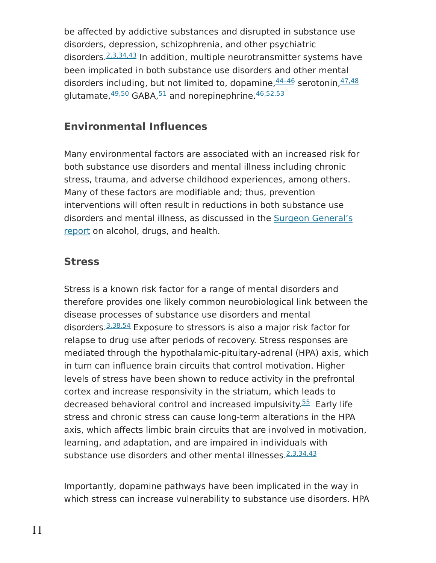be affected by addictive substances and disrupted in substance use disorders, depression, schizophrenia, and other psychiatric disorders.<sup>[2,3,34,43](https://www.drugabuse.gov/publications/research-reports/common-comorbidities-substance-use-disorders/references)</sup> In addition, multiple neurotransmitter systems have been implicated in both substance use disorders and other mental disorders including, but not limited to, dopamine,  $44-46$  serotonin,  $47,48$ glutamate,  $49,50$  GABA,  $51$  and norepinephrine.  $46,52,53$ 

### **Environmental Influences**

Many environmental factors are associated with an increased risk for both substance use disorders and mental illness including chronic stress, trauma, and adverse childhood experiences, among others. Many of these factors are modifiable and; thus, prevention interventions will often result in reductions in both substance use disorders and mental illness, as [discussed](https://addiction.surgeongeneral.gov/) in the Surgeon General's report on alcohol, drugs, and health.

### **Stress**

Stress is a known risk factor for a range of mental disorders and therefore provides one likely common neurobiological link between the disease processes of substance use disorders and mental disorders.<sup>[3,38,54](https://www.drugabuse.gov/publications/research-reports/common-comorbidities-substance-use-disorders/references)</sup> Exposure to stressors is also a major risk factor for relapse to drug use after periods of recovery. Stress responses are mediated through the hypothalamic-pituitary-adrenal (HPA) axis, which in turn can influence brain circuits that control motivation. Higher levels of stress have been shown to reduce activity in the prefrontal cortex and increase responsivity in the striatum, which leads to decreased behavioral control and increased impulsivity.<sup>[55](https://www.drugabuse.gov/publications/research-reports/common-comorbidities-substance-use-disorders/references)</sup> Early life stress and chronic stress can cause long-term alterations in the HPA axis, which affects limbic brain circuits that are involved in motivation, learning, and adaptation, and are impaired in individuals with substance use disorders and other mental illnesses. 2, 3, 34, 43

Importantly, dopamine pathways have been implicated in the way in which stress can increase vulnerability to substance use disorders. HPA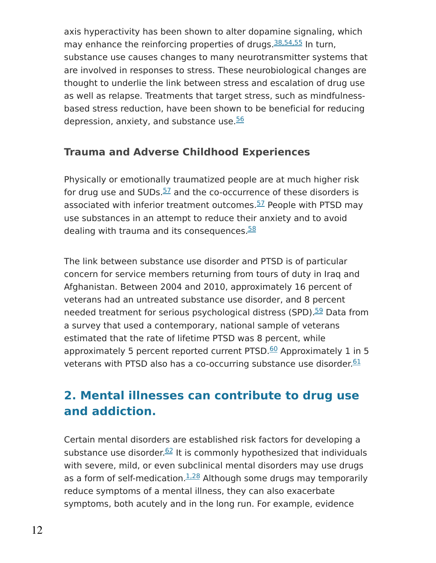axis hyperactivity has been shown to alter dopamine signaling, which may enhance the reinforcing properties of drugs.<sup>[38,54,55](https://www.drugabuse.gov/publications/research-reports/common-comorbidities-substance-use-disorders/references)</sup> In turn, substance use causes changes to many neurotransmitter systems that are involved in responses to stress. These neurobiological changes are thought to underlie the link between stress and escalation of drug use as well as relapse. Treatments that target stress, such as mindfulnessbased stress reduction, have been shown to be beneficial for reducing depression, anxiety, and substance use.<sup>[56](https://www.drugabuse.gov/publications/research-reports/common-comorbidities-substance-use-disorders/references)</sup>

### **Trauma and Adverse Childhood Experiences**

Physically or emotionally traumatized people are at much higher risk for drug use and SUDs. $57$  and the co-occurrence of these disorders is associated with inferior treatment outcomes.<sup>[57](https://www.drugabuse.gov/publications/research-reports/common-comorbidities-substance-use-disorders/references)</sup> People with PTSD may use substances in an attempt to reduce their anxiety and to avoid dealing with trauma and its consequences.<sup>[58](https://www.drugabuse.gov/publications/research-reports/common-comorbidities-substance-use-disorders/references)</sup>

The link between substance use disorder and PTSD is of particular concern for service members returning from tours of duty in Iraq and Afghanistan. Between 2004 and 2010, approximately 16 percent of veterans had an untreated substance use disorder, and 8 percent needed treatment for serious psychological distress (SPD).<sup>[59](https://www.drugabuse.gov/publications/research-reports/common-comorbidities-substance-use-disorders/references)</sup> Data from a survey that used a contemporary, national sample of veterans estimated that the rate of lifetime PTSD was 8 percent, while approximately 5 percent reported current PTSD.<sup>[60](https://www.drugabuse.gov/publications/research-reports/common-comorbidities-substance-use-disorders/references)</sup> Approximately 1 in 5 veterans with PTSD also has a co-occurring substance use disorder.<sup>[61](https://www.drugabuse.gov/publications/research-reports/common-comorbidities-substance-use-disorders/references)</sup>

## **2. Mental illnesses can contribute to drug use and addiction.**

Certain mental disorders are established risk factors for developing a substance use disorder.<sup>[62](https://www.drugabuse.gov/publications/research-reports/common-comorbidities-substance-use-disorders/references)</sup> It is commonly hypothesized that individuals with severe, mild, or even subclinical mental disorders may use drugs as a form of self-medication.  $1.28$  Although some drugs may temporarily reduce symptoms of a mental illness, they can also exacerbate symptoms, both acutely and in the long run. For example, evidence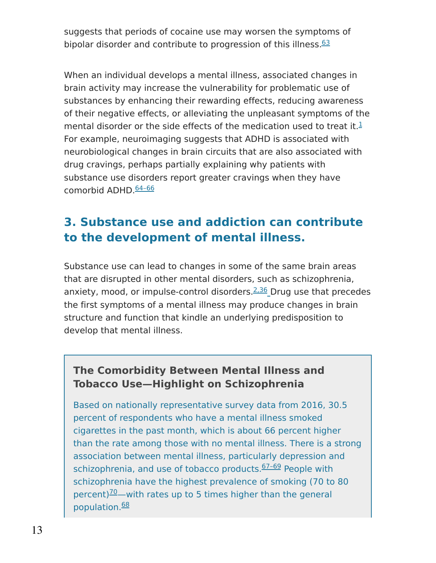suggests that periods of cocaine use may worsen the symptoms of bipolar disorder and contribute to progression of this illness.<sup>[63](https://www.drugabuse.gov/publications/research-reports/common-comorbidities-substance-use-disorders/references)</sup>

When an individual develops a mental illness, associated changes in brain activity may increase the vulnerability for problematic use of substances by enhancing their rewarding effects, reducing awareness of their negative effects, or alleviating the unpleasant symptoms of the mental disorder or the side effects of the medication used to treat it.<sup>[1](https://www.drugabuse.gov/publications/research-reports/common-comorbidities-substance-use-disorders/references)</sup> For example, neuroimaging suggests that ADHD is associated with neurobiological changes in brain circuits that are also associated with drug cravings, perhaps partially explaining why patients with substance use disorders report greater cravings when they have comorbid ADHD. 64-66

## **3. Substance use and addiction can contribute to the development of mental illness.**

Substance use can lead to changes in some of the same brain areas that are disrupted in other mental disorders, such as schizophrenia, anxiety, mood, or impulse-control disorders.<sup>[2,36](https://www.drugabuse.gov/publications/research-reports/common-comorbidities-substance-use-disorders/references)</sup> Drug use that precedes the first symptoms of a mental illness may produce changes in brain structure and function that kindle an underlying predisposition to develop that mental illness.

### **The Comorbidity Between Mental Illness and Tobacco Use—Highlight on Schizophrenia**

Based on nationally representative survey data from 2016, 30.5 percent of respondents who have a mental illness smoked cigarettes in the past month, which is about 66 percent higher than the rate among those with no mental illness. There is a strong association between mental illness, particularly depression and schizophrenia, and use of tobacco products.<sup>67-69</sup> People with schizophrenia have the highest prevalence of smoking (70 to 80 percent) $\frac{70}{2}$  $\frac{70}{2}$  $\frac{70}{2}$  with rates up to 5 times higher than the general population. [68](https://www.drugabuse.gov/publications/research-reports/common-comorbidities-substance-use-disorders/references)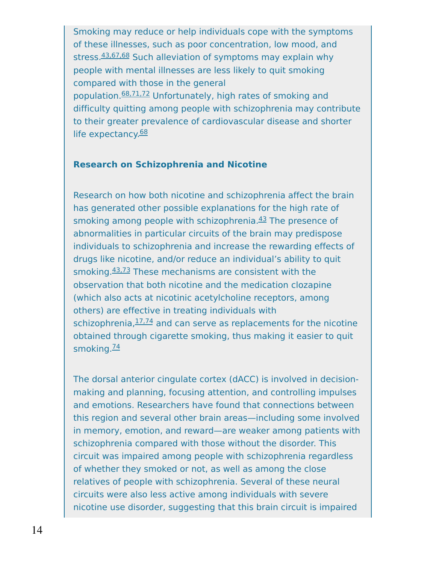Smoking may reduce or help individuals cope with the symptoms of these illnesses, such as poor concentration, low mood, and stress. [43,67,68](https://www.drugabuse.gov/publications/research-reports/common-comorbidities-substance-use-disorders/references) Such alleviation of symptoms may explain why people with mental illnesses are less likely to quit smoking compared with those in the general population.<sup>[68,71,72](https://www.drugabuse.gov/publications/research-reports/common-comorbidities-substance-use-disorders/references)</sup> Unfortunately, high rates of smoking and difficulty quitting among people with schizophrenia may contribute to their greater prevalence of cardiovascular disease and shorter life expectancy.<sup>[68](https://www.drugabuse.gov/publications/research-reports/common-comorbidities-substance-use-disorders/references)</sup>

#### **Research on Schizophrenia and Nicotine**

Research on how both nicotine and schizophrenia affect the brain has generated other possible explanations for the high rate of smoking among people with schizophrenia.<sup>[43](https://www.drugabuse.gov/publications/research-reports/common-comorbidities-substance-use-disorders/references)</sup> The presence of abnormalities in particular circuits of the brain may predispose individuals to schizophrenia and increase the rewarding effects of drugs like nicotine, and/or reduce an individual's ability to quit smoking. [43,73](https://www.drugabuse.gov/publications/research-reports/common-comorbidities-substance-use-disorders/references) These mechanisms are consistent with the observation that both nicotine and the medication clozapine (which also acts at nicotinic acetylcholine receptors, among others) are effective in treating individuals with schizophrenia, <sup>[17,74](https://www.drugabuse.gov/publications/research-reports/common-comorbidities-substance-use-disorders/references)</sup> and can serve as replacements for the nicotine obtained through cigarette smoking, thus making it easier to quit smoking.<sup>[74](https://www.drugabuse.gov/publications/research-reports/common-comorbidities-substance-use-disorders/references)</sup>

The dorsal anterior cingulate cortex (dACC) is involved in decisionmaking and planning, focusing attention, and controlling impulses and emotions. Researchers have found that connections between this region and several other brain areas—including some involved in memory, emotion, and reward—are weaker among patients with schizophrenia compared with those without the disorder. This circuit was impaired among people with schizophrenia regardless of whether they smoked or not, as well as among the close relatives of people with schizophrenia. Several of these neural circuits were also less active among individuals with severe nicotine use disorder, suggesting that this brain circuit is impaired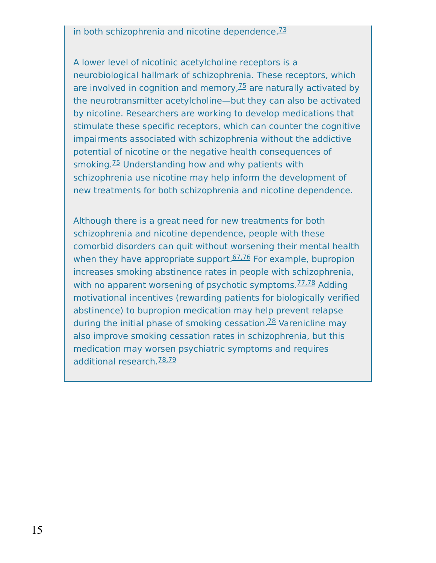#### in both schizophrenia and nicotine dependence.<sup>[73](https://www.drugabuse.gov/publications/research-reports/common-comorbidities-substance-use-disorders/references)</sup>

A lower level of nicotinic acetylcholine receptors is a neurobiological hallmark of schizophrenia. These receptors, which are involved in cognition and memory, $75$  are naturally activated by the neurotransmitter acetylcholine—but they can also be activated by nicotine. Researchers are working to develop medications that stimulate these specific receptors, which can counter the cognitive impairments associated with schizophrenia without the addictive potential of nicotine or the negative health consequences of smoking.<sup>[75](https://www.drugabuse.gov/publications/research-reports/common-comorbidities-substance-use-disorders/references)</sup> Understanding how and why patients with schizophrenia use nicotine may help inform the development of new treatments for both schizophrenia and nicotine dependence.

Although there is a great need for new treatments for both schizophrenia and nicotine dependence, people with these comorbid disorders can quit without worsening their mental health when they have appropriate support.<sup>[67,76](https://www.drugabuse.gov/publications/research-reports/common-comorbidities-substance-use-disorders/references)</sup> For example, bupropion increases smoking abstinence rates in people with schizophrenia, with no apparent worsening of psychotic symptoms.<sup>[77,78](https://www.drugabuse.gov/publications/research-reports/common-comorbidities-substance-use-disorders/references)</sup> Adding motivational incentives (rewarding patients for biologically verified abstinence) to bupropion medication may help prevent relapse during the initial phase of smoking cessation.<sup>[78](https://www.drugabuse.gov/publications/research-reports/common-comorbidities-substance-use-disorders/references)</sup> Varenicline may also improve smoking cessation rates in schizophrenia, but this medication may worsen psychiatric symptoms and requires additional research.<sup>[78,79](https://www.drugabuse.gov/publications/research-reports/common-comorbidities-substance-use-disorders/references)</sup>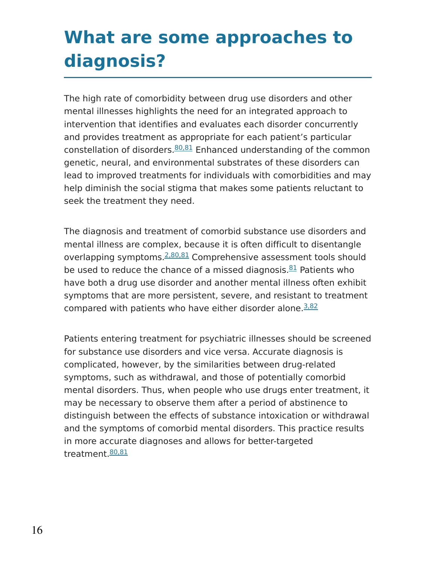## **What are some approaches to diagnosis?**

The high rate of comorbidity between drug use disorders and other mental illnesses highlights the need for an integrated approach to intervention that identifies and evaluates each disorder concurrently and provides treatment as appropriate for each patient's particular constellation of disorders. [80,81](https://www.drugabuse.gov/publications/research-reports/common-comorbidities-substance-use-disorders/references) Enhanced understanding of the common genetic, neural, and environmental substrates of these disorders can lead to improved treatments for individuals with comorbidities and may help diminish the social stigma that makes some patients reluctant to seek the treatment they need.

The diagnosis and treatment of comorbid substance use disorders and mental illness are complex, because it is often difficult to disentangle overlapping symptoms.<sup>[2,80,81](https://www.drugabuse.gov/publications/research-reports/common-comorbidities-substance-use-disorders/references)</sup> Comprehensive assessment tools should be used to reduce the chance of a missed diagnosis. **[81](https://www.drugabuse.gov/publications/research-reports/common-comorbidities-substance-use-disorders/references)** Patients who have both a drug use disorder and another mental illness often exhibit symptoms that are more persistent, severe, and resistant to treatment compared with patients who have either disorder alone.<sup>[3,82](https://www.drugabuse.gov/publications/research-reports/common-comorbidities-substance-use-disorders/references)</sup>

Patients entering treatment for psychiatric illnesses should be screened for substance use disorders and vice versa. Accurate diagnosis is complicated, however, by the similarities between drug-related symptoms, such as withdrawal, and those of potentially comorbid mental disorders. Thus, when people who use drugs enter treatment, it may be necessary to observe them after a period of abstinence to distinguish between the effects of substance intoxication or withdrawal and the symptoms of comorbid mental disorders. This practice results in more accurate diagnoses and allows for better-targeted treatment. [80,81](https://www.drugabuse.gov/publications/research-reports/common-comorbidities-substance-use-disorders/references)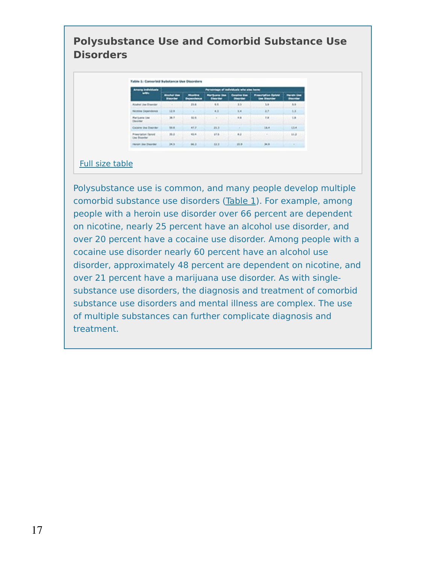### **Polysubstance Use and Comorbid Substance Use Disorders**

| ing bidhèkkada<br>÷                           | Percentage of individuals who also have |       |                                                      |                                                                          |                                                   |                      |
|-----------------------------------------------|-----------------------------------------|-------|------------------------------------------------------|--------------------------------------------------------------------------|---------------------------------------------------|----------------------|
|                                               | <b>Almaded West</b><br><b>Brasilian</b> |       | <b>Warrior and Street</b><br><b><i>Distances</i></b> | <b>Constitute View</b><br><b><i><u><i><u>FlashFilter</u></i></u></i></b> | <b>Prescription Suized</b><br><b>Ves Blaunber</b> | <b><i>DESIGN</i></b> |
| <b>Right Use Steerier</b>                     |                                         | 19.8  | 6.5                                                  | $3.3-$                                                                   | 3.8                                               | 8.91                 |
| <b>Recisions Cegarinhorate</b>                | 3.2.8                                   |       | 6.3                                                  | 5.4                                                                      | $-3.5$                                            | 6.3                  |
| <b>Ranjuana Lisa</b><br><b>December</b>       | 38.7<br><b></b>                         | 32.6  | <b>WILL</b>                                          | 68<br>.                                                                  | 3.8<br>.                                          | 1.8<br>--------      |
| Coleire the Doorder                           | 98.8                                    | 43.2  | 25.31                                                |                                                                          | 14.8                                              | <b>SEA</b>           |
| <b>Primeriation (laneal)</b><br>Jas Brazenher | 36.2                                    | 65.4. | 17.6                                                 | 83                                                                       | 2000000                                           | 41.3                 |
| renan ika ihsonlar                            | 34.6                                    | \$6.3 | 12.3                                                 | 詳細                                                                       | 34.91                                             | œ                    |

#### Full size [table](https://www.drugabuse.gov/longdesc/table-1-comorbid-substance-use-disorders)

Polysubstance use is common, and many people develop multiple comorbid substance use disorders [\(Table](https://www.drugabuse.gov/longdesc/table-1-comorbid-substance-use-disorders) 1). For example, among people with a heroin use disorder over 66 percent are dependent on nicotine, nearly 25 percent have an alcohol use disorder, and over 20 percent have a cocaine use disorder. Among people with a cocaine use disorder nearly 60 percent have an alcohol use disorder, approximately 48 percent are dependent on nicotine, and over 21 percent have a marijuana use disorder. As with singlesubstance use disorders, the diagnosis and treatment of comorbid substance use disorders and mental illness are complex. The use of multiple substances can further complicate diagnosis and treatment.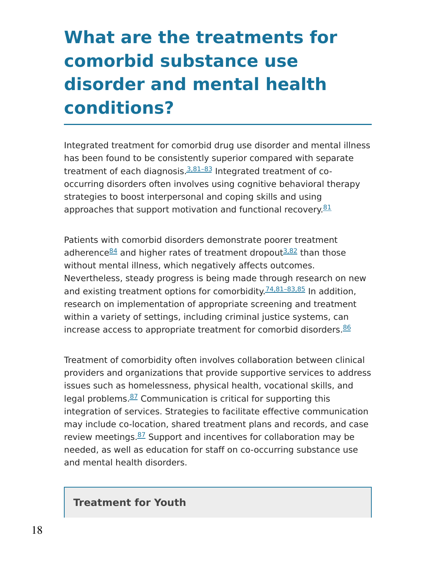# **What are the treatments for comorbid substance use disorder and mental health conditions?**

Integrated treatment for comorbid drug use disorder and mental illness has been found to be consistently superior compared with separate treatment of each diagnosis.<sup>3,81-83</sup> Integrated treatment of cooccurring disorders often involves using cognitive behavioral therapy strategies to boost interpersonal and coping skills and using approaches that support motivation and functional recovery.<sup>[81](https://www.drugabuse.gov/publications/research-reports/common-comorbidities-substance-use-disorders/references)</sup>

Patients with comorbid disorders demonstrate poorer treatment adherence<sup>[84](https://www.drugabuse.gov/publications/research-reports/common-comorbidities-substance-use-disorders/references)</sup> and higher rates of treatment dropout<sup>[3,82](https://www.drugabuse.gov/publications/research-reports/common-comorbidities-substance-use-disorders/references)</sup> than those without mental illness, which negatively affects outcomes. Nevertheless, steady progress is being made through research on new and existing treatment options for comorbidity.<sup>74,81-83,85</sup> In addition, research on implementation of appropriate screening and treatment within a variety of settings, including criminal justice systems, can increase access to appropriate treatment for comorbid disorders. [86](https://www.drugabuse.gov/publications/research-reports/common-comorbidities-substance-use-disorders/references)

Treatment of comorbidity often involves collaboration between clinical providers and organizations that provide supportive services to address issues such as homelessness, physical health, vocational skills, and legal problems. [87](https://www.drugabuse.gov/publications/research-reports/common-comorbidities-substance-use-disorders/references) Communication is critical for supporting this integration of services. Strategies to facilitate effective communication may include co-location, shared treatment plans and records, and case review meetings. $87$  Support and incentives for collaboration may be needed, as well as education for staff on co-occurring substance use and mental health disorders.

#### **Treatment for Youth**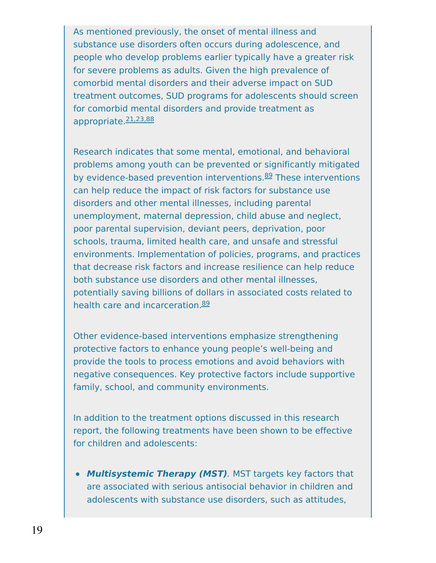As mentioned previously, the onset of mental illness and substance use disorders often occurs during adolescence, and people who develop problems earlier typically have a greater risk for severe problems as adults. Given the high prevalence of comorbid mental disorders and their adverse impact on SUD treatment outcomes, SUD programs for adolescents should screen for comorbid mental disorders and provide treatment as appropriate.<sup>[21,23,88](https://www.drugabuse.gov/publications/research-reports/common-comorbidities-substance-use-disorders/references)</sup>

Research indicates that some mental, emotional, and behavioral problems among youth can be prevented or significantly mitigated by evidence-based prevention interventions.<sup>[89](https://www.drugabuse.gov/publications/research-reports/common-comorbidities-substance-use-disorders/references)</sup> These interventions can help reduce the impact of risk factors for substance use disorders and other mental illnesses, including parental unemployment, maternal depression, child abuse and neglect, poor parental supervision, deviant peers, deprivation, poor schools, trauma, limited health care, and unsafe and stressful environments. Implementation of policies, programs, and practices that decrease risk factors and increase resilience can help reduce both substance use disorders and other mental illnesses, potentially saving billions of dollars in associated costs related to health care and incarceration.<sup>[89](https://www.drugabuse.gov/publications/research-reports/common-comorbidities-substance-use-disorders/references)</sup>

Other evidence-based interventions emphasize strengthening protective factors to enhance young people's well-being and provide the tools to process emotions and avoid behaviors with negative consequences. Key protective factors include supportive family, school, and community environments.

In addition to the treatment options discussed in this research report, the following treatments have been shown to be effective for children and adolescents:

**Multisystemic Therapy (MST)**. MST targets key factors that are associated with serious antisocial behavior in children and adolescents with substance use disorders, such as attitudes,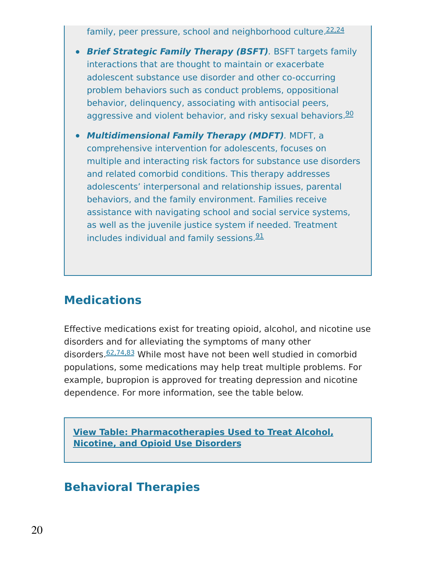family, peer pressure, school and neighborhood culture.<sup>[22,24](https://www.drugabuse.gov/publications/research-reports/common-comorbidities-substance-use-disorders/references)</sup>

- **Brief Strategic Family Therapy (BSFT)**. BSFT targets family interactions that are thought to maintain or exacerbate adolescent substance use disorder and other co-occurring problem behaviors such as conduct problems, oppositional behavior, delinquency, associating with antisocial peers, aggressive and violent behavior, and risky sexual behaviors.<sup>[90](https://www.drugabuse.gov/publications/research-reports/common-comorbidities-substance-use-disorders/references)</sup>
- **Multidimensional Family Therapy (MDFT)**. MDFT, a comprehensive intervention for adolescents, focuses on multiple and interacting risk factors for substance use disorders and related comorbid conditions. This therapy addresses adolescents' interpersonal and relationship issues, parental behaviors, and the family environment. Families receive assistance with navigating school and social service systems, as well as the juvenile justice system if needed. Treatment includes individual and family sessions.<sup>[91](https://www.drugabuse.gov/publications/research-reports/common-comorbidities-substance-use-disorders/references)</sup>

### **Medications**

Effective medications exist for treating opioid, alcohol, and nicotine use disorders and for alleviating the symptoms of many other disorders.<sup>[62,74,83](https://www.drugabuse.gov/publications/research-reports/common-comorbidities-substance-use-disorders/references)</sup> While most have not been well studied in comorbid populations, some medications may help treat multiple problems. For example, bupropion is approved for treating depression and nicotine dependence. For more information, see the table below.

**View Table: [Pharmacotherapies](https://www.drugabuse.gov/longdesc/pharmacotherapies-used-to-treat-alcohol-nicotine-opioid-use-disorders) Used to Treat Alcohol, Nicotine, and Opioid Use Disorders**

## **Behavioral Therapies**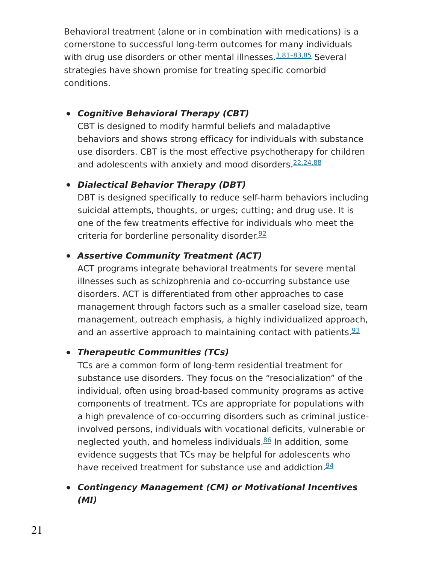Behavioral treatment (alone or in combination with medications) is a cornerstone to successful long-term outcomes for many individuals with drug use disorders or other mental illnesses. 3,81-83,85 Several strategies have shown promise for treating specific comorbid conditions.

### **Cognitive Behavioral Therapy (CBT)**

CBT is designed to modify harmful beliefs and maladaptive behaviors and shows strong efficacy for individuals with substance use disorders. CBT is the most effective psychotherapy for children and adolescents with anxiety and mood disorders.<sup>[22,24,88](https://www.drugabuse.gov/publications/research-reports/common-comorbidities-substance-use-disorders/references)</sup>

### **Dialectical Behavior Therapy (DBT)**

DBT is designed specifically to reduce self-harm behaviors including suicidal attempts, thoughts, or urges; cutting; and drug use. It is one of the few treatments effective for individuals who meet the criteria for borderline personality disorder.<sup>[92](https://www.drugabuse.gov/publications/research-reports/common-comorbidities-substance-use-disorders/references)</sup>

### **Assertive Community Treatment (ACT)**

ACT programs integrate behavioral treatments for severe mental illnesses such as schizophrenia and co-occurring substance use disorders. ACT is differentiated from other approaches to case management through factors such as a smaller caseload size, team management, outreach emphasis, a highly individualized approach, and an assertive approach to maintaining contact with patients.<sup>[93](https://www.drugabuse.gov/publications/research-reports/common-comorbidities-substance-use-disorders/references)</sup>

### **Therapeutic Communities (TCs)**

TCs are a common form of long-term residential treatment for substance use disorders. They focus on the "resocialization" of the individual, often using broad-based community programs as active components of treatment. TCs are appropriate for populations with a high prevalence of co-occurring disorders such as criminal justiceinvolved persons, individuals with vocational deficits, vulnerable or neglected youth, and homeless individuals.<sup>[86](https://www.drugabuse.gov/publications/research-reports/common-comorbidities-substance-use-disorders/references)</sup> In addition, some evidence suggests that TCs may be helpful for adolescents who have received treatment for substance use and addiction.<sup>[94](https://www.drugabuse.gov/publications/research-reports/common-comorbidities-substance-use-disorders/references)</sup>

#### **Contingency Management (CM) or Motivational Incentives (MI)**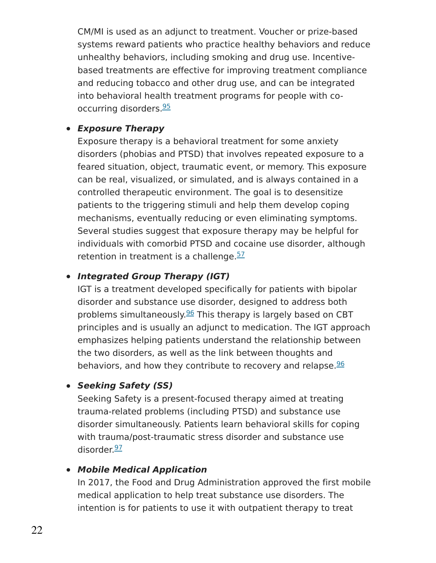CM/MI is used as an adjunct to treatment. Voucher or prize-based systems reward patients who practice healthy behaviors and reduce unhealthy behaviors, including smoking and drug use. Incentivebased treatments are effective for improving treatment compliance and reducing tobacco and other drug use, and can be integrated into behavioral health treatment programs for people with co-occurring disorders.<sup>[95](https://www.drugabuse.gov/publications/research-reports/common-comorbidities-substance-use-disorders/references)</sup>

#### **Exposure Therapy**

Exposure therapy is a behavioral treatment for some anxiety disorders (phobias and PTSD) that involves repeated exposure to a feared situation, object, traumatic event, or memory. This exposure can be real, visualized, or simulated, and is always contained in a controlled therapeutic environment. The goal is to desensitize patients to the triggering stimuli and help them develop coping mechanisms, eventually reducing or even eliminating symptoms. Several studies suggest that exposure therapy may be helpful for individuals with comorbid PTSD and cocaine use disorder, although retention in treatment is a challenge.<sup>[57](https://www.drugabuse.gov/publications/research-reports/common-comorbidities-substance-use-disorders/references)</sup>

#### **Integrated Group Therapy (IGT)**

IGT is a treatment developed specifically for patients with bipolar disorder and substance use disorder, designed to address both problems simultaneously.<sup>[96](https://www.drugabuse.gov/publications/research-reports/common-comorbidities-substance-use-disorders/references)</sup> This therapy is largely based on CBT principles and is usually an adjunct to medication. The IGT approach emphasizes helping patients understand the relationship between the two disorders, as well as the link between thoughts and behaviors, and how they contribute to recovery and relapse.<sup>[96](https://www.drugabuse.gov/publications/research-reports/common-comorbidities-substance-use-disorders/references)</sup>

#### **Seeking Safety (SS)**

Seeking Safety is a present-focused therapy aimed at treating trauma-related problems (including PTSD) and substance use disorder simultaneously. Patients learn behavioral skills for coping with trauma/post-traumatic stress disorder and substance use disorder.<sup>[97](https://www.drugabuse.gov/publications/research-reports/common-comorbidities-substance-use-disorders/references)</sup>

#### **Mobile Medical Application**

In 2017, the Food and Drug Administration approved the first mobile medical application to help treat substance use disorders. The intention is for patients to use it with outpatient therapy to treat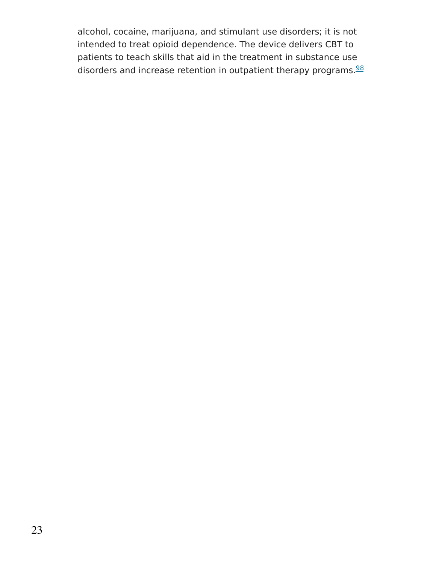alcohol, cocaine, marijuana, and stimulant use disorders; it is not intended to treat opioid dependence. The device delivers CBT to patients to teach skills that aid in the treatment in substance use disorders and increase retention in outpatient therapy programs. [98](https://www.drugabuse.gov/publications/research-reports/common-comorbidities-substance-use-disorders/references)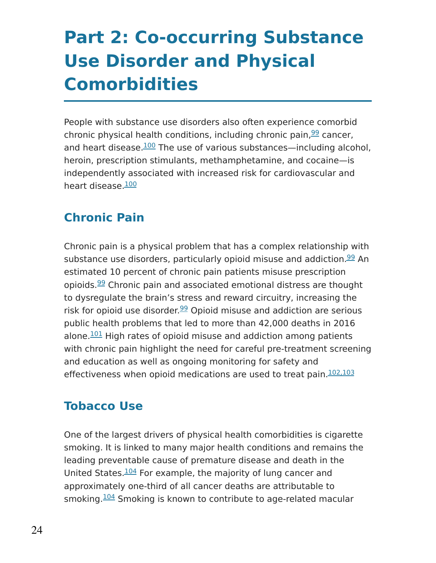# **Part 2: Co-occurring Substance Use Disorder and Physical Comorbidities**

People with substance use disorders also often experience comorbid chronic physical health conditions, including chronic pain, <sup>[99](https://www.drugabuse.gov/publications/research-reports/common-comorbidities-substance-use-disorders/references)</sup> cancer, and heart disease.<sup>[100](https://www.drugabuse.gov/publications/research-reports/common-comorbidities-substance-use-disorders/references)</sup> The use of various substances—including alcohol, heroin, prescription stimulants, methamphetamine, and cocaine—is independently associated with increased risk for cardiovascular and heart disease.<sup>[100](https://www.drugabuse.gov/publications/research-reports/common-comorbidities-substance-use-disorders/references)</sup>

## **Chronic Pain**

Chronic pain is a physical problem that has a complex relationship with substance use disorders, particularly opioid misuse and addiction.<sup>[99](https://www.drugabuse.gov/publications/research-reports/common-comorbidities-substance-use-disorders/references)</sup> An estimated 10 percent of chronic pain patients misuse prescription opioids.<sup>[99](https://www.drugabuse.gov/publications/research-reports/common-comorbidities-substance-use-disorders/references)</sup> Chronic pain and associated emotional distress are thought to dysregulate the brain's stress and reward circuitry, increasing the risk for opioid use disorder.<sup>[99](https://www.drugabuse.gov/publications/research-reports/common-comorbidities-substance-use-disorders/references)</sup> Opioid misuse and addiction are serious public health problems that led to more than 42,000 deaths in 2016 alone.<sup>[101](https://www.drugabuse.gov/publications/research-reports/common-comorbidities-substance-use-disorders/references)</sup> High rates of opioid misuse and addiction among patients with chronic pain highlight the need for careful pre-treatment screening and education as well as ongoing monitoring for safety and effectiveness when opioid medications are used to treat pain.<sup>[102,103](https://www.drugabuse.gov/publications/research-reports/common-comorbidities-substance-use-disorders/references)</sup>

### **Tobacco Use**

One of the largest drivers of physical health comorbidities is cigarette smoking. It is linked to many major health conditions and remains the leading preventable cause of premature disease and death in the United States.<sup>[104](https://www.drugabuse.gov/publications/research-reports/common-comorbidities-substance-use-disorders/references)</sup> For example, the majority of lung cancer and approximately one-third of all cancer deaths are attributable to smoking. 204 Smoking is known to contribute to age-related macular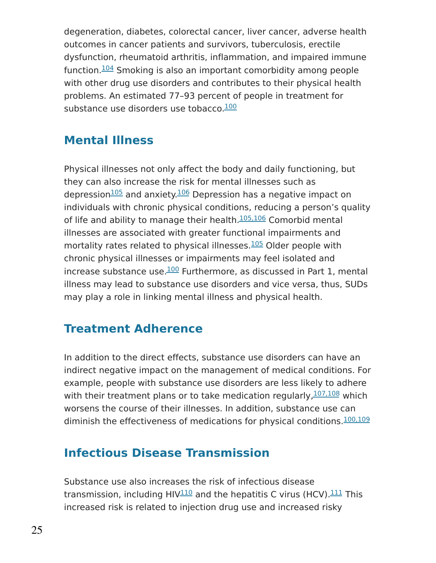degeneration, diabetes, colorectal cancer, liver cancer, adverse health outcomes in cancer patients and survivors, tuberculosis, erectile dysfunction, rheumatoid arthritis, inflammation, and impaired immune function.<sup>[104](https://www.drugabuse.gov/publications/research-reports/common-comorbidities-substance-use-disorders/references)</sup> Smoking is also an important comorbidity among people with other drug use disorders and contributes to their physical health problems. An estimated 77–93 percent of people in treatment for substance use disorders use tobacco.<sup>[100](https://www.drugabuse.gov/publications/research-reports/common-comorbidities-substance-use-disorders/references)</sup>

## **Mental Illness**

Physical illnesses not only affect the body and daily functioning, but they can also increase the risk for mental illnesses such as depression<sup>[105](https://www.drugabuse.gov/publications/research-reports/common-comorbidities-substance-use-disorders/references)</sup> and anxiety.<sup>[106](https://www.drugabuse.gov/publications/research-reports/common-comorbidities-substance-use-disorders/references)</sup> Depression has a negative impact on individuals with chronic physical conditions, reducing a person's quality of life and ability to manage their health.<sup>[105,106](https://www.drugabuse.gov/publications/research-reports/common-comorbidities-substance-use-disorders/references)</sup> Comorbid mental illnesses are associated with greater functional impairments and mortality rates related to physical illnesses. **[105](https://www.drugabuse.gov/publications/research-reports/common-comorbidities-substance-use-disorders/references)** Older people with chronic physical illnesses or impairments may feel isolated and increase substance use. $\frac{100}{100}$  $\frac{100}{100}$  $\frac{100}{100}$  Furthermore, as discussed in Part 1, mental illness may lead to substance use disorders and vice versa, thus, SUDs may play a role in linking mental illness and physical health.

## **Treatment Adherence**

In addition to the direct effects, substance use disorders can have an indirect negative impact on the management of medical conditions. For example, people with substance use disorders are less likely to adhere with their treatment plans or to take medication regularly,  $107, 108$  which worsens the course of their illnesses. In addition, substance use can diminish the effectiveness of medications for physical conditions.  $100,109$ 

## **Infectious Disease Transmission**

Substance use also increases the risk of infectious disease transmission, including HIV $^{110}$  $^{110}$  $^{110}$  and the hepatitis C virus (HCV). $^{111}$  $^{111}$  $^{111}$  This increased risk is related to injection drug use and increased risky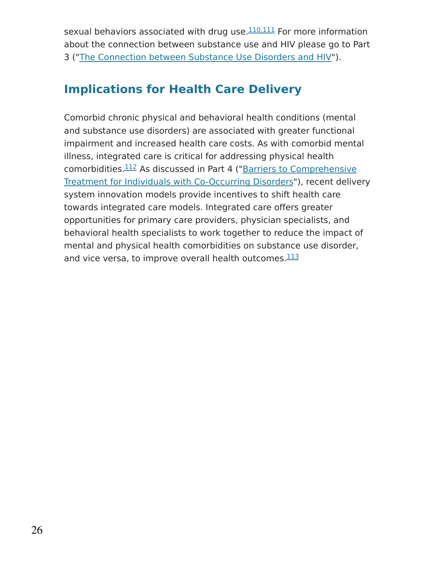sexual behaviors associated with drug use.<sup>[110,111](https://www.drugabuse.gov/publications/research-reports/common-comorbidities-substance-use-disorders/references)</sup> For more information about the connection between substance use and HIV please go to Part 3 ("The [Connection](https://www.drugabuse.gov/publications/research-reports/common-comorbidities-substance-use-disorders/part-3-connection-between-substance-use-disorders-hiv) between Substance Use Disorders and HIV").

## **Implications for Health Care Delivery**

Comorbid chronic physical and behavioral health conditions (mental and substance use disorders) are associated with greater functional impairment and increased health care costs. As with comorbid mental illness, integrated care is critical for addressing physical health comorbidities.<sup>112</sup> As discussed in Part 4 ("Barriers to [Comprehensive](https://www.drugabuse.gov/publications/research-reports/common-comorbidities-substance-use-disorders/part-4-barriers-to-comprehensive-treatment-individuals-co-occurring-disorders) Treatment for Individuals with Co-Occurring Disorders"), recent delivery system innovation models provide incentives to shift health care towards integrated care models. Integrated care offers greater opportunities for primary care providers, physician specialists, and behavioral health specialists to work together to reduce the impact of mental and physical health comorbidities on substance use disorder, and vice versa, to improve overall health outcomes.  $113$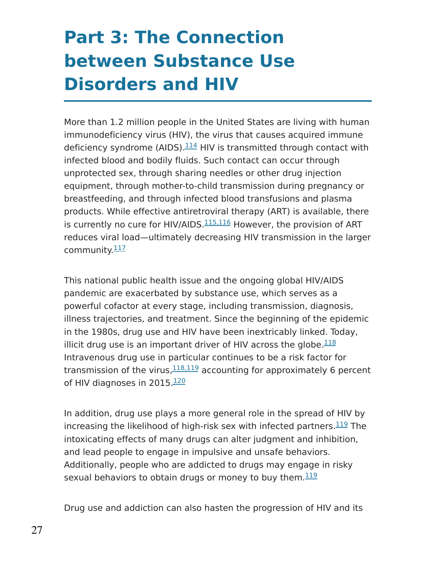# **Part 3: The Connection between Substance Use Disorders and HIV**

More than 1.2 million people in the United States are living with human immunodeficiency virus (HIV), the virus that causes acquired immune deficiency syndrome (AIDS).<sup>[114](https://www.drugabuse.gov/publications/research-reports/common-comorbidities-substance-use-disorders/references)</sup> HIV is transmitted through contact with infected blood and bodily fluids. Such contact can occur through unprotected sex, through sharing needles or other drug injection equipment, through mother-to-child transmission during pregnancy or breastfeeding, and through infected blood transfusions and plasma products. While effective antiretroviral therapy (ART) is available, there is currently no cure for HIV/AIDS.  $115,116$  However, the provision of ART reduces viral load—ultimately decreasing HIV transmission in the larger community.<sup>[117](https://www.drugabuse.gov/publications/research-reports/common-comorbidities-substance-use-disorders/references)</sup>

This national public health issue and the ongoing global HIV/AIDS pandemic are exacerbated by substance use, which serves as a powerful cofactor at every stage, including transmission, diagnosis, illness trajectories, and treatment. Since the beginning of the epidemic in the 1980s, drug use and HIV have been inextricably linked. Today, illicit drug use is an important driver of HIV across the globe. $118$ Intravenous drug use in particular continues to be a risk factor for transmission of the virus,  $^{118,119}$  $^{118,119}$  $^{118,119}$  accounting for approximately 6 percent of HIV diagnoses in 2015. [120](https://www.drugabuse.gov/publications/research-reports/common-comorbidities-substance-use-disorders/references)

In addition, drug use plays a more general role in the spread of HIV by increasing the likelihood of high-risk sex with infected partners. $^{\underline{119}}$  $^{\underline{119}}$  $^{\underline{119}}$  The intoxicating effects of many drugs can alter judgment and inhibition, and lead people to engage in impulsive and unsafe behaviors. Additionally, people who are addicted to drugs may engage in risky sexual behaviors to obtain drugs or money to buy them.  $119$ 

Drug use and addiction can also hasten the progression of HIV and its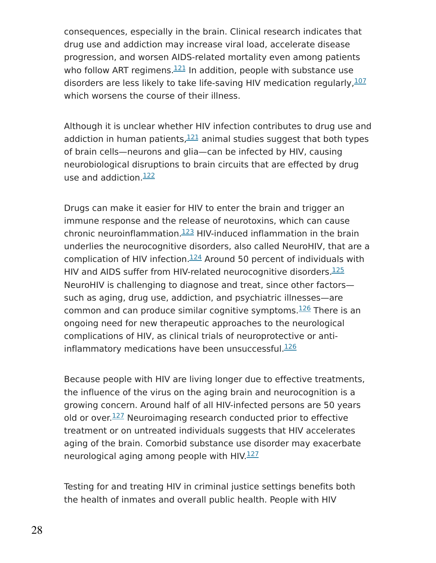consequences, especially in the brain. Clinical research indicates that drug use and addiction may increase viral load, accelerate disease progression, and worsen AIDS-related mortality even among patients who follow ART regimens. $\frac{121}{121}$  $\frac{121}{121}$  $\frac{121}{121}$  In addition, people with substance use disorders are less likely to take life-saving HIV medication regularly,  $107$ which worsens the course of their illness.

Although it is unclear whether HIV infection contributes to drug use and addiction in human patients, $121$  animal studies suggest that both types of brain cells—neurons and glia—can be infected by HIV, causing neurobiological disruptions to brain circuits that are effected by drug use and addiction.<sup>[122](https://www.drugabuse.gov/publications/research-reports/common-comorbidities-substance-use-disorders/references)</sup>

Drugs can make it easier for HIV to enter the brain and trigger an immune response and the release of neurotoxins, which can cause chronic neuroinflammation. $123$  HIV-induced inflammation in the brain underlies the neurocognitive disorders, also called NeuroHIV, that are a complication of HIV infection. $124$  Around 50 percent of individuals with HIV and AIDS suffer from HIV-related neurocognitive disorders.<sup>[125](https://www.drugabuse.gov/publications/research-reports/common-comorbidities-substance-use-disorders/references)</sup> NeuroHIV is challenging to diagnose and treat, since other factors such as aging, drug use, addiction, and psychiatric illnesses—are common and can produce similar cognitive symptoms.<sup>[126](https://www.drugabuse.gov/publications/research-reports/common-comorbidities-substance-use-disorders/references)</sup> There is an ongoing need for new therapeutic approaches to the neurological complications of HIV, as clinical trials of neuroprotective or anti-inflammatory medications have been unsuccessful.<sup>[126](https://www.drugabuse.gov/publications/research-reports/common-comorbidities-substance-use-disorders/references)</sup>

Because people with HIV are living longer due to effective treatments, the influence of the virus on the aging brain and neurocognition is a growing concern. Around half of all HIV-infected persons are 50 years old or over.<sup>[127](https://www.drugabuse.gov/publications/research-reports/common-comorbidities-substance-use-disorders/references)</sup> Neuroimaging research conducted prior to effective treatment or on untreated individuals suggests that HIV accelerates aging of the brain. Comorbid substance use disorder may exacerbate neurological aging among people with HIV.<sup>[127](https://www.drugabuse.gov/publications/research-reports/common-comorbidities-substance-use-disorders/references)</sup>

Testing for and treating HIV in criminal justice settings benefits both the health of inmates and overall public health. People with HIV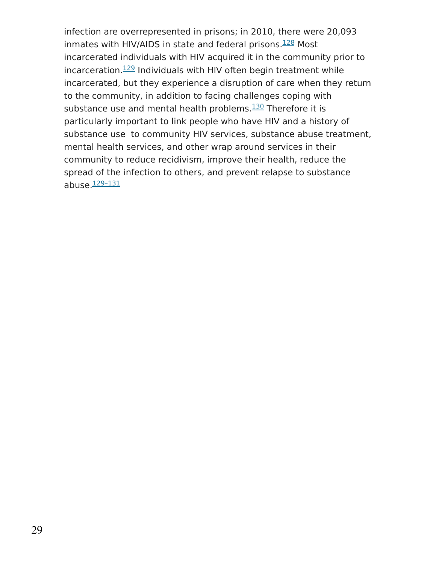infection are overrepresented in prisons; in 2010, there were 20,093 inmates with HIV/AIDS in state and federal prisons. $128$  Most incarcerated individuals with HIV acquired it in the community prior to incarceration. $129$  Individuals with HIV often begin treatment while incarcerated, but they experience a disruption of care when they return to the community, in addition to facing challenges coping with substance use and mental health problems.<sup>[130](https://www.drugabuse.gov/publications/research-reports/common-comorbidities-substance-use-disorders/references)</sup> Therefore it is particularly important to link people who have HIV and a history of substance use to community HIV services, substance abuse treatment, mental health services, and other wrap around services in their community to reduce recidivism, improve their health, reduce the spread of the infection to others, and prevent relapse to substance abuse. 129-131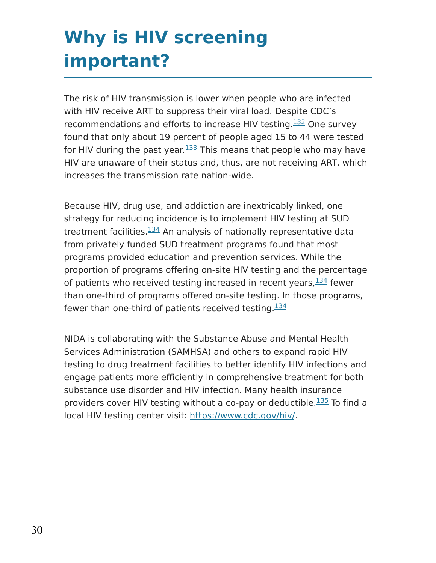# **Why is HIV screening important?**

The risk of HIV transmission is lower when people who are infected with HIV receive ART to suppress their viral load. Despite CDC's recommendations and efforts to increase HIV testing. $132$  One survey found that only about 19 percent of people aged 15 to 44 were tested for HIV during the past year.<sup>[133](https://www.drugabuse.gov/publications/research-reports/common-comorbidities-substance-use-disorders/references)</sup> This means that people who may have HIV are unaware of their status and, thus, are not receiving ART, which increases the transmission rate nation-wide.

Because HIV, drug use, and addiction are inextricably linked, one strategy for reducing incidence is to implement HIV testing at SUD treatment facilities.<sup>[134](https://www.drugabuse.gov/publications/research-reports/common-comorbidities-substance-use-disorders/references)</sup> An analysis of nationally representative data from privately funded SUD treatment programs found that most programs provided education and prevention services. While the proportion of programs offering on-site HIV testing and the percentage of patients who received testing increased in recent years, $^{134}$  $^{134}$  $^{134}$  fewer than one-third of programs offered on-site testing. In those programs, fewer than one-third of patients received testing.  $134$ 

NIDA is collaborating with the Substance Abuse and Mental Health Services Administration (SAMHSA) and others to expand rapid HIV testing to drug treatment facilities to better identify HIV infections and engage patients more efficiently in comprehensive treatment for both substance use disorder and HIV infection. Many health insurance providers cover HIV testing without a co-pay or deductible.<sup>[135](https://www.drugabuse.gov/publications/research-reports/common-comorbidities-substance-use-disorders/references)</sup> To find a local HIV testing center visit: [https://www.cdc.gov/hiv/.](https://www.cdc.gov/hiv/)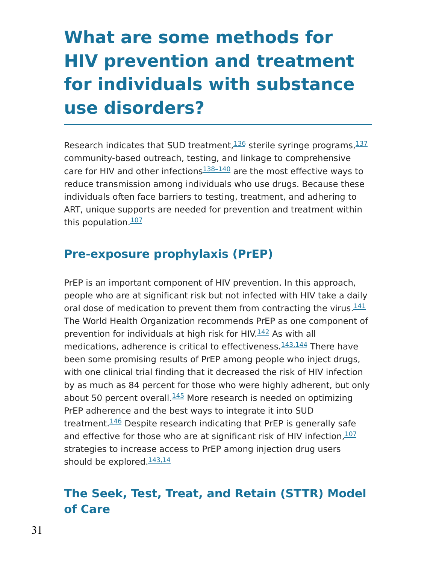# **What are some methods for HIV prevention and treatment for individuals with substance use disorders?**

Research indicates that SUD treatment, 236 sterile syringe programs, 237 community-based outreach, testing, and linkage to comprehensive care for HIV and other infections<sup>138-140</sup> are the most effective ways to reduce transmission among individuals who use drugs. Because these individuals often face barriers to testing, treatment, and adhering to ART, unique supports are needed for prevention and treatment within this population. 207

## **Pre-exposure prophylaxis (PrEP)**

PrEP is an important component of HIV prevention. In this approach, people who are at significant risk but not infected with HIV take a daily oral dose of medication to prevent them from contracting the virus.<sup>[141](https://www.drugabuse.gov/publications/research-reports/common-comorbidities-substance-use-disorders/references)</sup> The World Health Organization recommends PrEP as one component of prevention for individuals at high risk for HIV.<sup>[142](https://www.drugabuse.gov/publications/research-reports/common-comorbidities-substance-use-disorders/references)</sup> As with all medications, adherence is critical to effectiveness.  $143,144$  There have been some promising results of PrEP among people who inject drugs, with one clinical trial finding that it decreased the risk of HIV infection by as much as 84 percent for those who were highly adherent, but only about 50 percent overall. $145$  More research is needed on optimizing PrEP adherence and the best ways to integrate it into SUD treatment.<sup>[146](https://www.drugabuse.gov/publications/research-reports/common-comorbidities-substance-use-disorders/references)</sup> Despite research indicating that PrEP is generally safe and effective for those who are at significant risk of HIV infection, [107](https://www.drugabuse.gov/publications/research-reports/common-comorbidities-substance-use-disorders/references) strategies to increase access to PrEP among injection drug users should be explored. 243, 14

## **The Seek, Test, Treat, and Retain (STTR) Model of Care**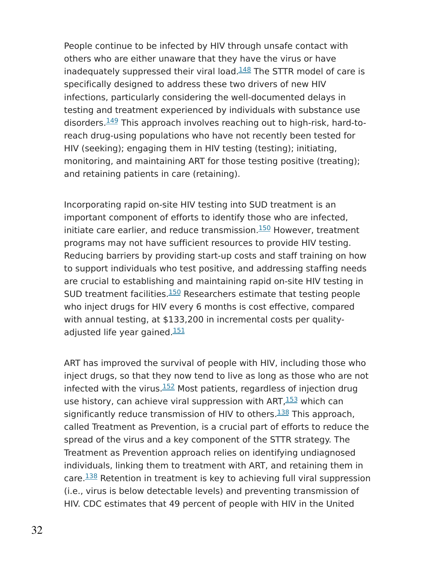People continue to be infected by HIV through unsafe contact with others who are either unaware that they have the virus or have inadequately suppressed their viral load. $148$  The STTR model of care is specifically designed to address these two drivers of new HIV infections, particularly considering the well-documented delays in testing and treatment experienced by individuals with substance use disorders.<sup>[149](https://www.drugabuse.gov/publications/research-reports/common-comorbidities-substance-use-disorders/references)</sup> This approach involves reaching out to high-risk, hard-toreach drug-using populations who have not recently been tested for HIV (seeking); engaging them in HIV testing (testing); initiating, monitoring, and maintaining ART for those testing positive (treating); and retaining patients in care (retaining).

Incorporating rapid on-site HIV testing into SUD treatment is an important component of efforts to identify those who are infected, initiate care earlier, and reduce transmission.<sup>[150](https://www.drugabuse.gov/publications/research-reports/common-comorbidities-substance-use-disorders/references)</sup> However, treatment programs may not have sufficient resources to provide HIV testing. Reducing barriers by providing start-up costs and staff training on how to support individuals who test positive, and addressing staffing needs are crucial to establishing and maintaining rapid on-site HIV testing in SUD treatment facilities.<sup>[150](https://www.drugabuse.gov/publications/research-reports/common-comorbidities-substance-use-disorders/references)</sup> Researchers estimate that testing people who inject drugs for HIV every 6 months is cost effective, compared with annual testing, at \$133,200 in incremental costs per quality-adjusted life year gained.<sup>[151](https://www.drugabuse.gov/publications/research-reports/common-comorbidities-substance-use-disorders/references)</sup>

ART has improved the survival of people with HIV, including those who inject drugs, so that they now tend to live as long as those who are not infected with the virus.<sup>[152](https://www.drugabuse.gov/publications/research-reports/common-comorbidities-substance-use-disorders/references)</sup> Most patients, regardless of injection drug use history, can achieve viral suppression with ART, <sup>[153](https://www.drugabuse.gov/publications/research-reports/common-comorbidities-substance-use-disorders/references)</sup> which can significantly reduce transmission of HIV to others.<sup>[138](https://www.drugabuse.gov/publications/research-reports/common-comorbidities-substance-use-disorders/references)</sup> This approach, called Treatment as Prevention, is a crucial part of efforts to reduce the spread of the virus and a key component of the STTR strategy. The Treatment as Prevention approach relies on identifying undiagnosed individuals, linking them to treatment with ART, and retaining them in care. $\frac{138}{138}$  $\frac{138}{138}$  $\frac{138}{138}$  Retention in treatment is key to achieving full viral suppression (i.e., virus is below detectable levels) and preventing transmission of HIV. CDC estimates that 49 percent of people with HIV in the United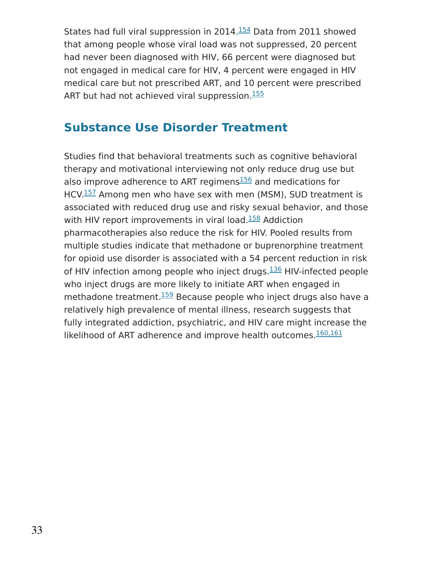States had full viral suppression in 2014. $154$  Data from 2011 showed that among people whose viral load was not suppressed, 20 percent had never been diagnosed with HIV, 66 percent were diagnosed but not engaged in medical care for HIV, 4 percent were engaged in HIV medical care but not prescribed ART, and 10 percent were prescribed ART but had not achieved viral suppression.<sup>[155](https://www.drugabuse.gov/publications/research-reports/common-comorbidities-substance-use-disorders/references)</sup>

## **Substance Use Disorder Treatment**

Studies find that behavioral treatments such as cognitive behavioral therapy and motivational interviewing not only reduce drug use but also improve adherence to ART regimens<sup>[156](https://www.drugabuse.gov/publications/research-reports/common-comorbidities-substance-use-disorders/references)</sup> and medications for HCV.<sup>[157](https://www.drugabuse.gov/publications/research-reports/common-comorbidities-substance-use-disorders/references)</sup> Among men who have sex with men (MSM), SUD treatment is associated with reduced drug use and risky sexual behavior, and those with HIV report improvements in viral load.<sup>[158](https://www.drugabuse.gov/publications/research-reports/common-comorbidities-substance-use-disorders/references)</sup> Addiction pharmacotherapies also reduce the risk for HIV. Pooled results from multiple studies indicate that methadone or buprenorphine treatment for opioid use disorder is associated with a 54 percent reduction in risk of HIV infection among people who inject drugs.<sup>[136](https://www.drugabuse.gov/publications/research-reports/common-comorbidities-substance-use-disorders/references)</sup> HIV-infected people who inject drugs are more likely to initiate ART when engaged in methadone treatment.<sup>[159](https://www.drugabuse.gov/publications/research-reports/common-comorbidities-substance-use-disorders/references)</sup> Because people who inject drugs also have a relatively high prevalence of mental illness, research suggests that fully integrated addiction, psychiatric, and HIV care might increase the likelihood of ART adherence and improve health outcomes. [160,161](https://www.drugabuse.gov/publications/research-reports/common-comorbidities-substance-use-disorders/references)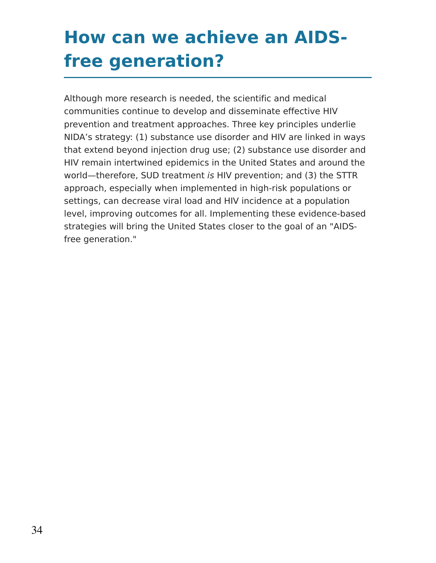# **How can we achieve an AIDSfree generation?**

Although more research is needed, the scientific and medical communities continue to develop and disseminate effective HIV prevention and treatment approaches. Three key principles underlie NIDA's strategy: (1) substance use disorder and HIV are linked in ways that extend beyond injection drug use; (2) substance use disorder and HIV remain intertwined epidemics in the United States and around the world—therefore, SUD treatment is HIV prevention; and (3) the STTR approach, especially when implemented in high-risk populations or settings, can decrease viral load and HIV incidence at a population level, improving outcomes for all. Implementing these evidence-based strategies will bring the United States closer to the goal of an "AIDSfree generation."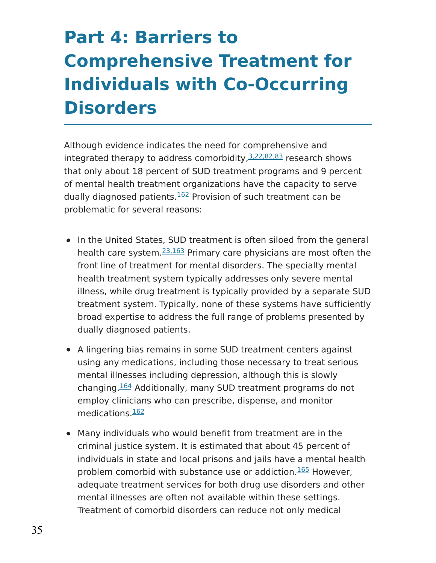# **Part 4: Barriers to Comprehensive Treatment for Individuals with Co-Occurring Disorders**

Although evidence indicates the need for comprehensive and integrated therapy to address comorbidity, [3,22,82,83](https://www.drugabuse.gov/publications/research-reports/common-comorbidities-substance-use-disorders/references) research shows that only about 18 percent of SUD treatment programs and 9 percent of mental health treatment organizations have the capacity to serve dually diagnosed patients.<sup>[162](https://www.drugabuse.gov/publications/research-reports/common-comorbidities-substance-use-disorders/references)</sup> Provision of such treatment can be problematic for several reasons:

- In the United States, SUD treatment is often siloed from the general health care system.  $23,163$  Primary care physicians are most often the front line of treatment for mental disorders. The specialty mental health treatment system typically addresses only severe mental illness, while drug treatment is typically provided by a separate SUD treatment system. Typically, none of these systems have sufficiently broad expertise to address the full range of problems presented by dually diagnosed patients.
- A lingering bias remains in some SUD treatment centers against using any medications, including those necessary to treat serious mental illnesses including depression, although this is slowly changing.<sup>[164](https://www.drugabuse.gov/publications/research-reports/common-comorbidities-substance-use-disorders/references)</sup> Additionally, many SUD treatment programs do not employ clinicians who can prescribe, dispense, and monitor medications.<sup>[162](https://www.drugabuse.gov/publications/research-reports/common-comorbidities-substance-use-disorders/references)</sup>
- Many individuals who would benefit from treatment are in the criminal justice system. It is estimated that about 45 percent of individuals in state and local prisons and jails have a mental health problem comorbid with substance use or addiction.<sup>[165](https://www.drugabuse.gov/publications/research-reports/common-comorbidities-substance-use-disorders/references)</sup> However, adequate treatment services for both drug use disorders and other mental illnesses are often not available within these settings. Treatment of comorbid disorders can reduce not only medical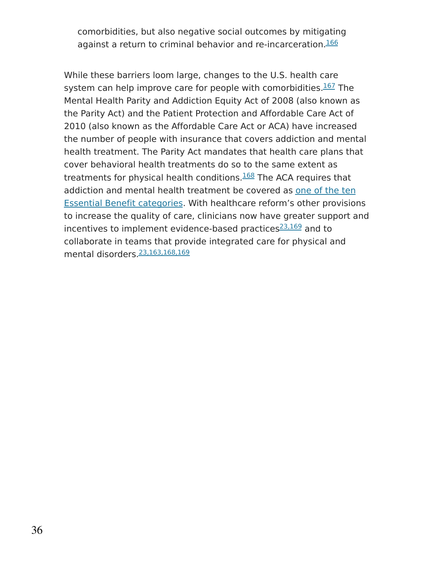comorbidities, but also negative social outcomes by mitigating against a return to criminal behavior and re-incarceration. [166](https://www.drugabuse.gov/publications/research-reports/common-comorbidities-substance-use-disorders/references)

While these barriers loom large, changes to the U.S. health care system can help improve care for people with comorbidities. [167](https://www.drugabuse.gov/publications/research-reports/common-comorbidities-substance-use-disorders/references) The Mental Health Parity and Addiction Equity Act of 2008 (also known as the Parity Act) and the Patient Protection and Affordable Care Act of 2010 (also known as the Affordable Care Act or ACA) have increased the number of people with insurance that covers addiction and mental health treatment. The Parity Act mandates that health care plans that cover behavioral health treatments do so to the same extent as treatments for physical health conditions.<sup>[168](https://www.drugabuse.gov/publications/research-reports/common-comorbidities-substance-use-disorders/references)</sup> The ACA requires that addiction and mental health treatment be covered as one of the ten Essential Benefit [categories.](https://www.cms.gov/cciio/resources/data-resources/ehb.html) With healthcare reform's other provisions to increase the quality of care, clinicians now have greater support and incentives to implement evidence-based practices<sup>[23,169](https://www.drugabuse.gov/publications/research-reports/common-comorbidities-substance-use-disorders/references)</sup> and to collaborate in teams that provide integrated care for physical and mental disorders. [23,163,168,169](https://www.drugabuse.gov/publications/research-reports/common-comorbidities-substance-use-disorders/references)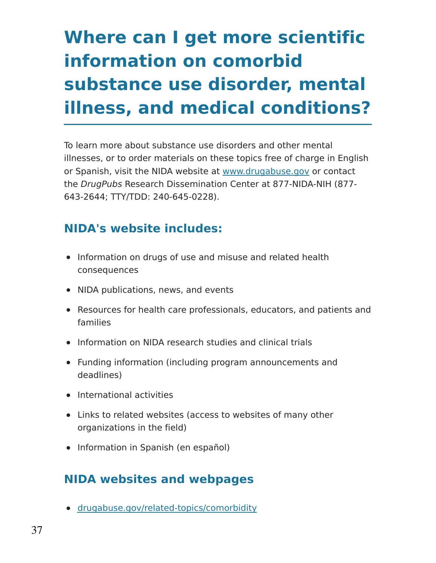# **Where can I get more scientific information on comorbid substance use disorder, mental illness, and medical conditions?**

To learn more about substance use disorders and other mental illnesses, or to order materials on these topics free of charge in English or Spanish, visit the NIDA website at [www.drugabuse.gov](https://www.drugabuse.gov/) or contact the DrugPubs Research Dissemination Center at 877-NIDA-NIH (877- 643-2644; TTY/TDD: 240-645-0228).

## **NIDA's website includes:**

- Information on drugs of use and misuse and related health consequences
- NIDA publications, news, and events
- Resources for health care professionals, educators, and patients and families
- Information on NIDA research studies and clinical trials
- Funding information (including program announcements and deadlines)
- International activities
- Links to related websites (access to websites of many other organizations in the field)
- Information in Spanish (en español)

### **NIDA websites and webpages**

[drugabuse.gov/related-topics/comorbidity](https://www.drugabuse.gov/related-topics/comorbidity)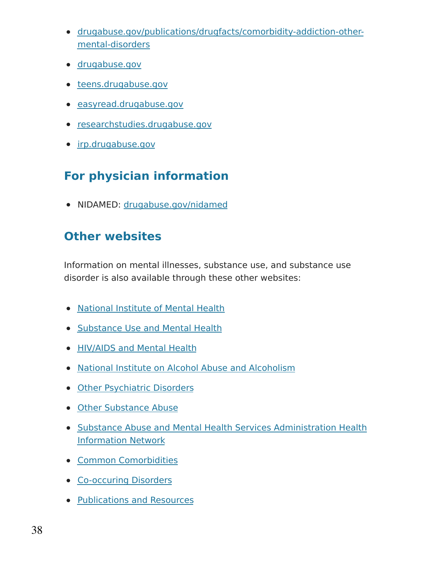- [drugabuse.gov/publications/drugfacts/comorbidity-addiction-other](https://www.drugabuse.gov/publications/drugfacts/comorbidity-addiction-other-mental-disorders)mental-disorders
- [drugabuse.gov](https://drugabuse.gov/)
- [teens.drugabuse.gov](https://teens.drugabuse.gov/)
- [easyread.drugabuse.gov](https://easyread.drugabuse.gov/)
- [researchstudies.drugabuse.gov](https://researchstudies.drugabuse.gov/)
- [irp.drugabuse.gov](https://irp.drugabuse.gov/)

## **For physician information**

NIDAMED: [drugabuse.gov/nidamed](https://www.drugabuse.gov/nidamed-medical-health-professionals)

### **Other websites**

Information on mental illnesses, substance use, and substance use disorder is also available through these other websites:

- [National](https://www.nimh.nih.gov/index.shtml) Institute of Mental Health
- [Substance](https://www.nimh.nih.gov/health/topics/substance-use-and-mental-health/index.shtml) Use and Mental Health
- [HIV/AIDS](https://www.nimh.nih.gov/health/topics/hiv-aids/index.shtml) and Mental Health
- National Institute on Alcohol Abuse and [Alcoholism](https://www.niaaa.nih.gov/)
- Other [Psychiatric](https://www.niaaa.nih.gov/alcohol-health/special-populations-co-occurring-disorders/other-psychiatric-disorders) Disorders
- Other [Substance](https://www.niaaa.nih.gov/alcohol-health/special-populations-co-occurring-disorders/other-substance-abuse) Abuse
- Substance Abuse and Mental Health Services [Administration](https://www.samhsa.gov/shin) Health Information Network
- **Common [Comorbidities](https://www.samhsa.gov/medication-assisted-treatment/treatment/common-comorbidities)**
- [Co-occuring](https://www.samhsa.gov/disorders/co-occurring) Disorders
- [Publications](https://www.samhsa.gov/disorders/publications-resources) and Resources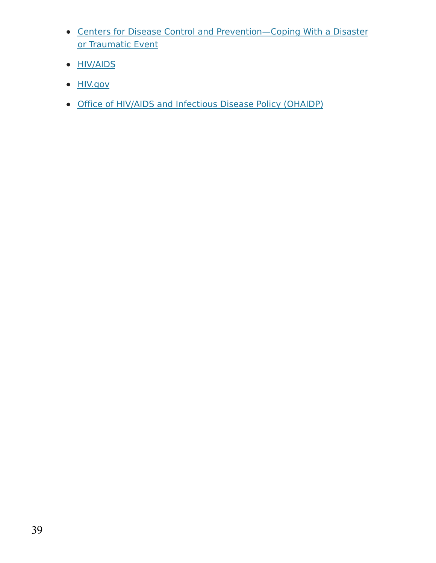- Centers for Disease Control and [Prevention—Coping](https://emergency.cdc.gov/coping/index.asp) With a Disaster or Traumatic Event
- **[HIV/AIDS](https://www.cdc.gov/hiv/)**
- **[HIV.gov](https://www.hiv.gov/)**
- Office of HIV/AIDS and [Infectious](https://www.hhs.gov/ohaidp/index.html) Disease Policy (OHAIDP)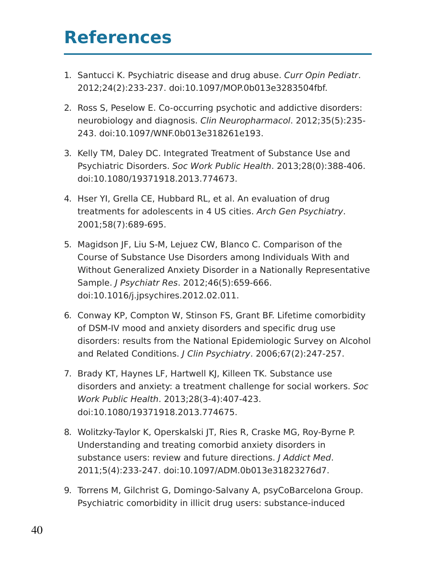## **References**

- 1. Santucci K. Psychiatric disease and drug abuse. Curr Opin Pediatr. 2012;24(2):233-237. doi:10.1097/MOP.0b013e3283504fbf.
- 2. Ross S, Peselow E. Co-occurring psychotic and addictive disorders: neurobiology and diagnosis. Clin Neuropharmacol. 2012;35(5):235- 243. doi:10.1097/WNF.0b013e318261e193.
- 3. Kelly TM, Daley DC. Integrated Treatment of Substance Use and Psychiatric Disorders. Soc Work Public Health. 2013;28(0):388-406. doi:10.1080/19371918.2013.774673.
- 4. Hser YI, Grella CE, Hubbard RL, et al. An evaluation of drug treatments for adolescents in 4 US cities. Arch Gen Psychiatry. 2001;58(7):689-695.
- 5. Magidson JF, Liu S-M, Lejuez CW, Blanco C. Comparison of the Course of Substance Use Disorders among Individuals With and Without Generalized Anxiety Disorder in a Nationally Representative Sample. J Psychiatr Res. 2012;46(5):659-666. doi:10.1016/j.jpsychires.2012.02.011.
- 6. Conway KP, Compton W, Stinson FS, Grant BF. Lifetime comorbidity of DSM-IV mood and anxiety disorders and specific drug use disorders: results from the National Epidemiologic Survey on Alcohol and Related Conditions. J Clin Psychiatry. 2006;67(2):247-257.
- 7. Brady KT, Haynes LF, Hartwell KJ, Killeen TK. Substance use disorders and anxiety: a treatment challenge for social workers. Soc Work Public Health. 2013;28(3-4):407-423. doi:10.1080/19371918.2013.774675.
- 8. Wolitzky-Taylor K, Operskalski JT, Ries R, Craske MG, Roy-Byrne P. Understanding and treating comorbid anxiety disorders in substance users: review and future directions. J Addict Med. 2011;5(4):233-247. doi:10.1097/ADM.0b013e31823276d7.
- 9. Torrens M, Gilchrist G, Domingo-Salvany A, psyCoBarcelona Group. Psychiatric comorbidity in illicit drug users: substance-induced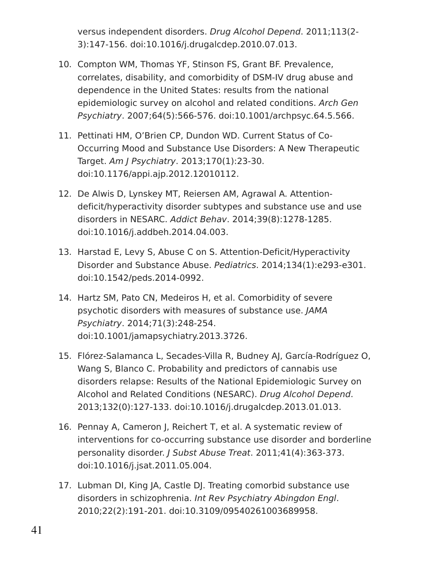versus independent disorders. Drug Alcohol Depend. 2011;113(2- 3):147-156. doi:10.1016/j.drugalcdep.2010.07.013.

- 10. Compton WM, Thomas YF, Stinson FS, Grant BF. Prevalence, correlates, disability, and comorbidity of DSM-IV drug abuse and dependence in the United States: results from the national epidemiologic survey on alcohol and related conditions. Arch Gen Psychiatry. 2007;64(5):566-576. doi:10.1001/archpsyc.64.5.566.
- 11. Pettinati HM, O'Brien CP, Dundon WD. Current Status of Co-Occurring Mood and Substance Use Disorders: A New Therapeutic Target. Am J Psychiatry. 2013;170(1):23-30. doi:10.1176/appi.ajp.2012.12010112.
- 12. De Alwis D, Lynskey MT, Reiersen AM, Agrawal A. Attentiondeficit/hyperactivity disorder subtypes and substance use and use disorders in NESARC. Addict Behav. 2014;39(8):1278-1285. doi:10.1016/j.addbeh.2014.04.003.
- 13. Harstad E, Levy S, Abuse C on S. Attention-Deficit/Hyperactivity Disorder and Substance Abuse. Pediatrics. 2014;134(1):e293-e301. doi:10.1542/peds.2014-0992.
- 14. Hartz SM, Pato CN, Medeiros H, et al. Comorbidity of severe psychotic disorders with measures of substance use. JAMA Psychiatry. 2014;71(3):248-254. doi:10.1001/jamapsychiatry.2013.3726.
- 15. Flórez-Salamanca L, Secades-Villa R, Budney AJ, García-Rodríguez O, Wang S, Blanco C. Probability and predictors of cannabis use disorders relapse: Results of the National Epidemiologic Survey on Alcohol and Related Conditions (NESARC). Drug Alcohol Depend. 2013;132(0):127-133. doi:10.1016/j.drugalcdep.2013.01.013.
- 16. Pennay A, Cameron J, Reichert T, et al. A systematic review of interventions for co-occurring substance use disorder and borderline personality disorder. J Subst Abuse Treat. 2011;41(4):363-373. doi:10.1016/j.jsat.2011.05.004.
- 17. Lubman DI, King JA, Castle DJ. Treating comorbid substance use disorders in schizophrenia. Int Rev Psychiatry Abingdon Engl. 2010;22(2):191-201. doi:10.3109/09540261003689958.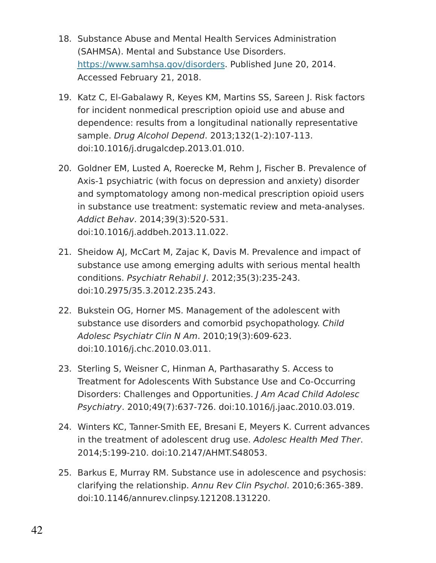- 18. Substance Abuse and Mental Health Services Administration (SAHMSA). Mental and Substance Use Disorders. [https://www.samhsa.gov/disorders.](https://www.samhsa.gov/disorders) Published June 20, 2014. Accessed February 21, 2018.
- 19. Katz C, El-Gabalawy R, Keyes KM, Martins SS, Sareen J. Risk factors for incident nonmedical prescription opioid use and abuse and dependence: results from a longitudinal nationally representative sample. Drug Alcohol Depend. 2013;132(1-2):107-113. doi:10.1016/j.drugalcdep.2013.01.010.
- 20. Goldner EM, Lusted A, Roerecke M, Rehm J, Fischer B. Prevalence of Axis-1 psychiatric (with focus on depression and anxiety) disorder and symptomatology among non-medical prescription opioid users in substance use treatment: systematic review and meta-analyses. Addict Behav. 2014;39(3):520-531. doi:10.1016/j.addbeh.2013.11.022.
- 21. Sheidow AJ, McCart M, Zajac K, Davis M. Prevalence and impact of substance use among emerging adults with serious mental health conditions. Psychiatr Rehabil J. 2012;35(3):235-243. doi:10.2975/35.3.2012.235.243.
- 22. Bukstein OG, Horner MS. Management of the adolescent with substance use disorders and comorbid psychopathology. Child Adolesc Psychiatr Clin N Am. 2010;19(3):609-623. doi:10.1016/j.chc.2010.03.011.
- 23. Sterling S, Weisner C, Hinman A, Parthasarathy S. Access to Treatment for Adolescents With Substance Use and Co-Occurring Disorders: Challenges and Opportunities. J Am Acad Child Adolesc Psychiatry. 2010;49(7):637-726. doi:10.1016/j.jaac.2010.03.019.
- 24. Winters KC, Tanner-Smith EE, Bresani E, Meyers K. Current advances in the treatment of adolescent drug use. Adolesc Health Med Ther. 2014;5:199-210. doi:10.2147/AHMT.S48053.
- 25. Barkus E, Murray RM. Substance use in adolescence and psychosis: clarifying the relationship. Annu Rev Clin Psychol. 2010;6:365-389. doi:10.1146/annurev.clinpsy.121208.131220.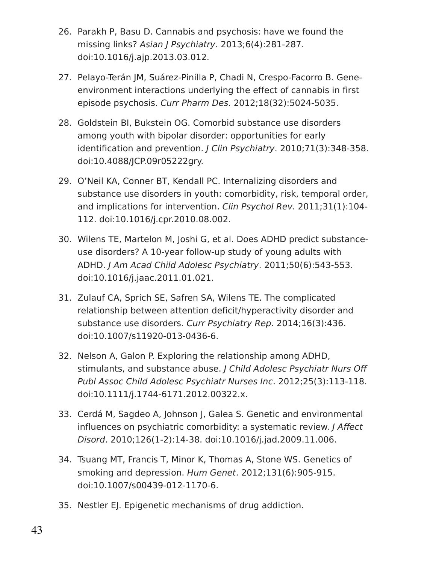- 26. Parakh P, Basu D. Cannabis and psychosis: have we found the missing links? Asian J Psychiatry. 2013;6(4):281-287. doi:10.1016/j.ajp.2013.03.012.
- 27. Pelayo-Terán JM, Suárez-Pinilla P, Chadi N, Crespo-Facorro B. Geneenvironment interactions underlying the effect of cannabis in first episode psychosis. Curr Pharm Des. 2012;18(32):5024-5035.
- 28. Goldstein BI, Bukstein OG. Comorbid substance use disorders among youth with bipolar disorder: opportunities for early identification and prevention. J Clin Psychiatry. 2010;71(3):348-358. doi:10.4088/JCP.09r05222gry.
- 29. O'Neil KA, Conner BT, Kendall PC. Internalizing disorders and substance use disorders in youth: comorbidity, risk, temporal order, and implications for intervention. Clin Psychol Rev. 2011;31(1):104- 112. doi:10.1016/j.cpr.2010.08.002.
- 30. Wilens TE, Martelon M, Joshi G, et al. Does ADHD predict substanceuse disorders? A 10-year follow-up study of young adults with ADHD. J Am Acad Child Adolesc Psychiatry. 2011;50(6):543-553. doi:10.1016/j.jaac.2011.01.021.
- 31. Zulauf CA, Sprich SE, Safren SA, Wilens TE. The complicated relationship between attention deficit/hyperactivity disorder and substance use disorders. Curr Psychiatry Rep. 2014;16(3):436. doi:10.1007/s11920-013-0436-6.
- 32. Nelson A, Galon P. Exploring the relationship among ADHD, stimulants, and substance abuse. J Child Adolesc Psychiatr Nurs Off Publ Assoc Child Adolesc Psychiatr Nurses Inc. 2012;25(3):113-118. doi:10.1111/j.1744-6171.2012.00322.x.
- 33. Cerdá M, Sagdeo A, Johnson J, Galea S. Genetic and environmental influences on psychiatric comorbidity: a systematic review. J Affect Disord. 2010;126(1-2):14-38. doi:10.1016/j.jad.2009.11.006.
- 34. Tsuang MT, Francis T, Minor K, Thomas A, Stone WS. Genetics of smoking and depression. Hum Genet. 2012;131(6):905-915. doi:10.1007/s00439-012-1170-6.
- 35. Nestler EJ. Epigenetic mechanisms of drug addiction.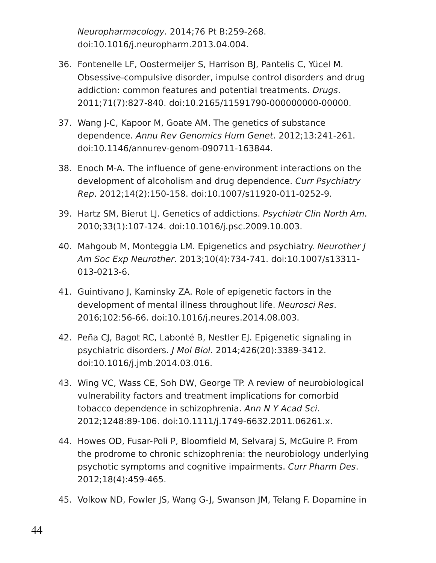Neuropharmacology. 2014;76 Pt B:259-268. doi:10.1016/j.neuropharm.2013.04.004.

- 36. Fontenelle LF, Oostermeijer S, Harrison BJ, Pantelis C, Yücel M. Obsessive-compulsive disorder, impulse control disorders and drug addiction: common features and potential treatments. Drugs. 2011;71(7):827-840. doi:10.2165/11591790-000000000-00000.
- 37. Wang J-C, Kapoor M, Goate AM. The genetics of substance dependence. Annu Rev Genomics Hum Genet. 2012;13:241-261. doi:10.1146/annurev-genom-090711-163844.
- 38. Enoch M-A. The influence of gene-environment interactions on the development of alcoholism and drug dependence. Curr Psychiatry Rep. 2012;14(2):150-158. doi:10.1007/s11920-011-0252-9.
- 39. Hartz SM, Bierut LJ. Genetics of addictions. Psychiatr Clin North Am. 2010;33(1):107-124. doi:10.1016/j.psc.2009.10.003.
- 40. Mahgoub M, Monteggia LM. Epigenetics and psychiatry. Neurother J Am Soc Exp Neurother. 2013;10(4):734-741. doi:10.1007/s13311- 013-0213-6.
- 41. Guintivano J, Kaminsky ZA. Role of epigenetic factors in the development of mental illness throughout life. Neurosci Res. 2016;102:56-66. doi:10.1016/j.neures.2014.08.003.
- 42. Peña CJ, Bagot RC, Labonté B, Nestler EJ. Epigenetic signaling in psychiatric disorders. J Mol Biol. 2014;426(20):3389-3412. doi:10.1016/j.jmb.2014.03.016.
- 43. Wing VC, Wass CE, Soh DW, George TP. A review of neurobiological vulnerability factors and treatment implications for comorbid tobacco dependence in schizophrenia. Ann N Y Acad Sci. 2012;1248:89-106. doi:10.1111/j.1749-6632.2011.06261.x.
- 44. Howes OD, Fusar-Poli P, Bloomfield M, Selvaraj S, McGuire P. From the prodrome to chronic schizophrenia: the neurobiology underlying psychotic symptoms and cognitive impairments. Curr Pharm Des. 2012;18(4):459-465.
- 45. Volkow ND, Fowler JS, Wang G-J, Swanson JM, Telang F. Dopamine in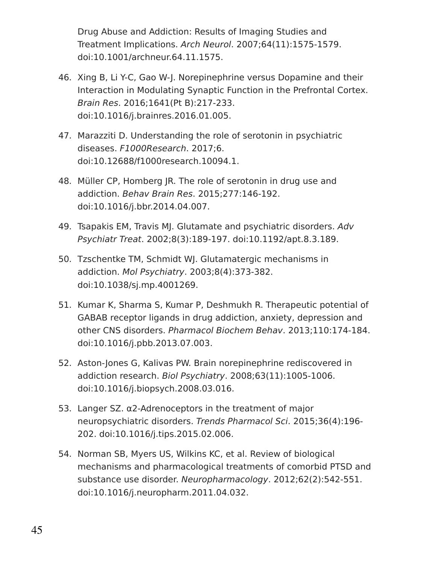Drug Abuse and Addiction: Results of Imaging Studies and Treatment Implications. Arch Neurol. 2007;64(11):1575-1579. doi:10.1001/archneur.64.11.1575.

- 46. Xing B, Li Y-C, Gao W-J. Norepinephrine versus Dopamine and their Interaction in Modulating Synaptic Function in the Prefrontal Cortex. Brain Res. 2016;1641(Pt B):217-233. doi:10.1016/j.brainres.2016.01.005.
- 47. Marazziti D. Understanding the role of serotonin in psychiatric diseases. F1000Research. 2017;6. doi:10.12688/f1000research.10094.1.
- 48. Müller CP, Homberg JR. The role of serotonin in drug use and addiction. Behav Brain Res. 2015;277:146-192. doi:10.1016/j.bbr.2014.04.007.
- 49. Tsapakis EM, Travis MJ. Glutamate and psychiatric disorders. Adv Psychiatr Treat. 2002;8(3):189-197. doi:10.1192/apt.8.3.189.
- 50. Tzschentke TM, Schmidt WJ. Glutamatergic mechanisms in addiction. Mol Psychiatry. 2003;8(4):373-382. doi:10.1038/sj.mp.4001269.
- 51. Kumar K, Sharma S, Kumar P, Deshmukh R. Therapeutic potential of GABAB receptor ligands in drug addiction, anxiety, depression and other CNS disorders. Pharmacol Biochem Behav. 2013;110:174-184. doi:10.1016/j.pbb.2013.07.003.
- 52. Aston-Jones G, Kalivas PW. Brain norepinephrine rediscovered in addiction research. Biol Psychiatry. 2008;63(11):1005-1006. doi:10.1016/j.biopsych.2008.03.016.
- 53. Langer SZ. α2-Adrenoceptors in the treatment of major neuropsychiatric disorders. Trends Pharmacol Sci. 2015;36(4):196- 202. doi:10.1016/j.tips.2015.02.006.
- 54. Norman SB, Myers US, Wilkins KC, et al. Review of biological mechanisms and pharmacological treatments of comorbid PTSD and substance use disorder. Neuropharmacology. 2012;62(2):542-551. doi:10.1016/j.neuropharm.2011.04.032.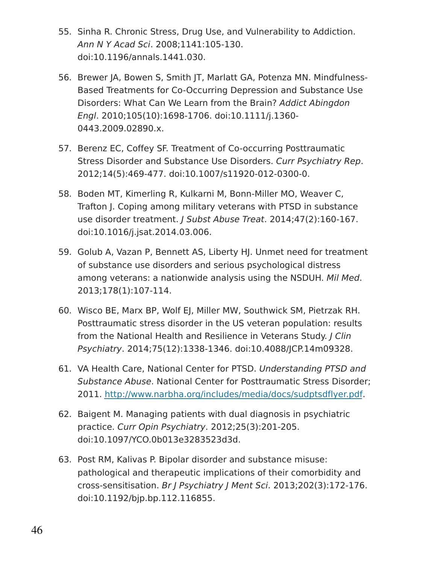- 55. Sinha R. Chronic Stress, Drug Use, and Vulnerability to Addiction. Ann N Y Acad Sci. 2008;1141:105-130. doi:10.1196/annals.1441.030.
- 56. Brewer JA, Bowen S, Smith JT, Marlatt GA, Potenza MN. Mindfulness-Based Treatments for Co-Occurring Depression and Substance Use Disorders: What Can We Learn from the Brain? Addict Abingdon Engl. 2010;105(10):1698-1706. doi:10.1111/j.1360- 0443.2009.02890.x.
- 57. Berenz EC, Coffey SF. Treatment of Co-occurring Posttraumatic Stress Disorder and Substance Use Disorders. Curr Psychiatry Rep. 2012;14(5):469-477. doi:10.1007/s11920-012-0300-0.
- 58. Boden MT, Kimerling R, Kulkarni M, Bonn-Miller MO, Weaver C, Trafton J. Coping among military veterans with PTSD in substance use disorder treatment. *J Subst Abuse Treat.* 2014;47(2):160-167. doi:10.1016/j.jsat.2014.03.006.
- 59. Golub A, Vazan P, Bennett AS, Liberty HJ. Unmet need for treatment of substance use disorders and serious psychological distress among veterans: a nationwide analysis using the NSDUH. Mil Med. 2013;178(1):107-114.
- 60. Wisco BE, Marx BP, Wolf EJ, Miller MW, Southwick SM, Pietrzak RH. Posttraumatic stress disorder in the US veteran population: results from the National Health and Resilience in Veterans Study. J Clin Psychiatry. 2014;75(12):1338-1346. doi:10.4088/JCP.14m09328.
- 61. VA Health Care, National Center for PTSD. Understanding PTSD and Substance Abuse. National Center for Posttraumatic Stress Disorder; 2011. [http://www.narbha.org/includes/media/docs/sudptsdflyer.pdf.](http://www.narbha.org/includes/media/docs/sudptsdflyer.pdf)
- 62. Baigent M. Managing patients with dual diagnosis in psychiatric practice. Curr Opin Psychiatry. 2012;25(3):201-205. doi:10.1097/YCO.0b013e3283523d3d.
- 63. Post RM, Kalivas P. Bipolar disorder and substance misuse: pathological and therapeutic implications of their comorbidity and cross-sensitisation. Br J Psychiatry J Ment Sci. 2013;202(3):172-176. doi:10.1192/bjp.bp.112.116855.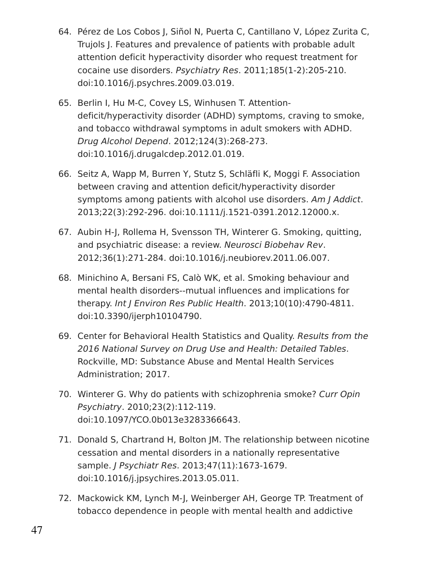- 64. Pérez de Los Cobos J, Siñol N, Puerta C, Cantillano V, López Zurita C, Trujols J. Features and prevalence of patients with probable adult attention deficit hyperactivity disorder who request treatment for cocaine use disorders. Psychiatry Res. 2011;185(1-2):205-210. doi:10.1016/j.psychres.2009.03.019.
- 65. Berlin I, Hu M-C, Covey LS, Winhusen T. Attentiondeficit/hyperactivity disorder (ADHD) symptoms, craving to smoke, and tobacco withdrawal symptoms in adult smokers with ADHD. Drug Alcohol Depend. 2012;124(3):268-273. doi:10.1016/j.drugalcdep.2012.01.019.
- 66. Seitz A, Wapp M, Burren Y, Stutz S, Schläfli K, Moggi F. Association between craving and attention deficit/hyperactivity disorder symptoms among patients with alcohol use disorders. Am J Addict. 2013;22(3):292-296. doi:10.1111/j.1521-0391.2012.12000.x.
- 67. Aubin H-J, Rollema H, Svensson TH, Winterer G. Smoking, quitting, and psychiatric disease: a review. Neurosci Biobehav Rev. 2012;36(1):271-284. doi:10.1016/j.neubiorev.2011.06.007.
- 68. Minichino A, Bersani FS, Calò WK, et al. Smoking behaviour and mental health disorders--mutual influences and implications for therapy. Int J Environ Res Public Health. 2013;10(10):4790-4811. doi:10.3390/ijerph10104790.
- 69. Center for Behavioral Health Statistics and Quality. Results from the 2016 National Survey on Drug Use and Health: Detailed Tables. Rockville, MD: Substance Abuse and Mental Health Services Administration; 2017.
- 70. Winterer G. Why do patients with schizophrenia smoke? Curr Opin Psychiatry. 2010;23(2):112-119. doi:10.1097/YCO.0b013e3283366643.
- 71. Donald S, Chartrand H, Bolton JM. The relationship between nicotine cessation and mental disorders in a nationally representative sample. J Psychiatr Res. 2013;47(11):1673-1679. doi:10.1016/j.jpsychires.2013.05.011.
- 72. Mackowick KM, Lynch M-J, Weinberger AH, George TP. Treatment of tobacco dependence in people with mental health and addictive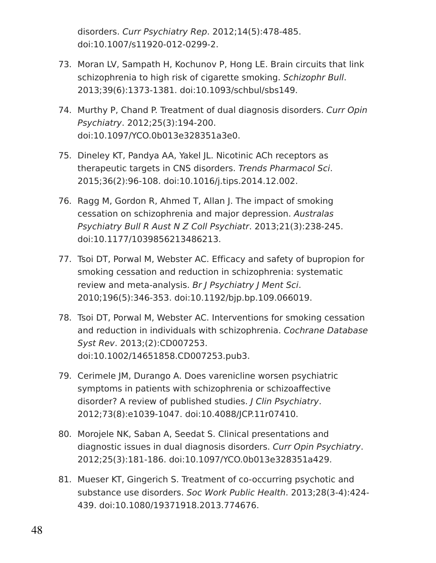disorders. Curr Psychiatry Rep. 2012;14(5):478-485. doi:10.1007/s11920-012-0299-2.

- 73. Moran LV, Sampath H, Kochunov P, Hong LE. Brain circuits that link schizophrenia to high risk of cigarette smoking. Schizophr Bull. 2013;39(6):1373-1381. doi:10.1093/schbul/sbs149.
- 74. Murthy P, Chand P. Treatment of dual diagnosis disorders. Curr Opin Psychiatry. 2012;25(3):194-200. doi:10.1097/YCO.0b013e328351a3e0.
- 75. Dineley KT, Pandya AA, Yakel JL. Nicotinic ACh receptors as therapeutic targets in CNS disorders. Trends Pharmacol Sci. 2015;36(2):96-108. doi:10.1016/j.tips.2014.12.002.
- 76. Ragg M, Gordon R, Ahmed T, Allan J. The impact of smoking cessation on schizophrenia and major depression. Australas Psychiatry Bull R Aust N Z Coll Psychiatr. 2013;21(3):238-245. doi:10.1177/1039856213486213.
- 77. Tsoi DT, Porwal M, Webster AC. Efficacy and safety of bupropion for smoking cessation and reduction in schizophrenia: systematic review and meta-analysis. Br J Psychiatry J Ment Sci. 2010;196(5):346-353. doi:10.1192/bjp.bp.109.066019.
- 78. Tsoi DT, Porwal M, Webster AC. Interventions for smoking cessation and reduction in individuals with schizophrenia. Cochrane Database Syst Rev. 2013;(2):CD007253. doi:10.1002/14651858.CD007253.pub3.
- 79. Cerimele JM, Durango A. Does varenicline worsen psychiatric symptoms in patients with schizophrenia or schizoaffective disorder? A review of published studies. J Clin Psychiatry. 2012;73(8):e1039-1047. doi:10.4088/JCP.11r07410.
- 80. Morojele NK, Saban A, Seedat S. Clinical presentations and diagnostic issues in dual diagnosis disorders. Curr Opin Psychiatry. 2012;25(3):181-186. doi:10.1097/YCO.0b013e328351a429.
- 81. Mueser KT, Gingerich S. Treatment of co-occurring psychotic and substance use disorders. Soc Work Public Health. 2013;28(3-4):424- 439. doi:10.1080/19371918.2013.774676.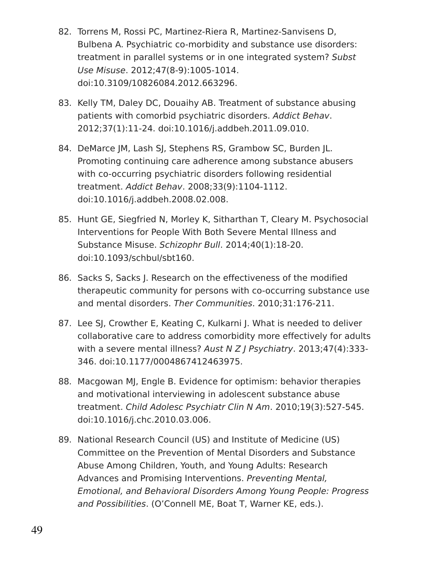- 82. Torrens M, Rossi PC, Martinez-Riera R, Martinez-Sanvisens D, Bulbena A. Psychiatric co-morbidity and substance use disorders: treatment in parallel systems or in one integrated system? Subst Use Misuse. 2012;47(8-9):1005-1014. doi:10.3109/10826084.2012.663296.
- 83. Kelly TM, Daley DC, Douaihy AB. Treatment of substance abusing patients with comorbid psychiatric disorders. Addict Behav. 2012;37(1):11-24. doi:10.1016/j.addbeh.2011.09.010.
- 84. DeMarce JM, Lash SJ, Stephens RS, Grambow SC, Burden JL. Promoting continuing care adherence among substance abusers with co-occurring psychiatric disorders following residential treatment. Addict Behav. 2008;33(9):1104-1112. doi:10.1016/j.addbeh.2008.02.008.
- 85. Hunt GE, Siegfried N, Morley K, Sitharthan T, Cleary M. Psychosocial Interventions for People With Both Severe Mental Illness and Substance Misuse. Schizophr Bull. 2014;40(1):18-20. doi:10.1093/schbul/sbt160.
- 86. Sacks S, Sacks J. Research on the effectiveness of the modified therapeutic community for persons with co-occurring substance use and mental disorders. Ther Communities. 2010;31:176-211.
- 87. Lee SJ, Crowther E, Keating C, Kulkarni J. What is needed to deliver collaborative care to address comorbidity more effectively for adults with a severe mental illness? Aust N Z J Psychiatry. 2013;47(4):333-346. doi:10.1177/0004867412463975.
- 88. Macgowan MJ, Engle B. Evidence for optimism: behavior therapies and motivational interviewing in adolescent substance abuse treatment. Child Adolesc Psychiatr Clin N Am. 2010;19(3):527-545. doi:10.1016/j.chc.2010.03.006.
- 89. National Research Council (US) and Institute of Medicine (US) Committee on the Prevention of Mental Disorders and Substance Abuse Among Children, Youth, and Young Adults: Research Advances and Promising Interventions. Preventing Mental, Emotional, and Behavioral Disorders Among Young People: Progress and Possibilities. (O'Connell ME, Boat T, Warner KE, eds.).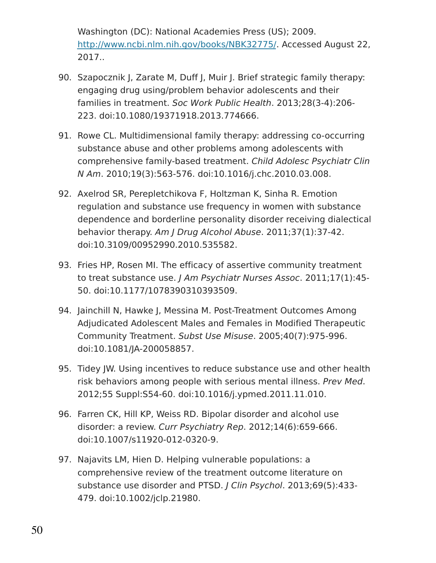Washington (DC): National Academies Press (US); 2009. [http://www.ncbi.nlm.nih.gov/books/NBK32775/.](http://www.ncbi.nlm.nih.gov/books/NBK32775/) Accessed August 22, 2017..

- 90. Szapocznik J, Zarate M, Duff J, Muir J. Brief strategic family therapy: engaging drug using/problem behavior adolescents and their families in treatment. Soc Work Public Health. 2013;28(3-4):206- 223. doi:10.1080/19371918.2013.774666.
- 91. Rowe CL. Multidimensional family therapy: addressing co-occurring substance abuse and other problems among adolescents with comprehensive family-based treatment. Child Adolesc Psychiatr Clin N Am. 2010;19(3):563-576. doi:10.1016/j.chc.2010.03.008.
- 92. Axelrod SR, Perepletchikova F, Holtzman K, Sinha R. Emotion regulation and substance use frequency in women with substance dependence and borderline personality disorder receiving dialectical behavior therapy. Am J Drug Alcohol Abuse. 2011;37(1):37-42. doi:10.3109/00952990.2010.535582.
- 93. Fries HP, Rosen MI. The efficacy of assertive community treatment to treat substance use. J Am Psychiatr Nurses Assoc. 2011;17(1):45-50. doi:10.1177/1078390310393509.
- 94. Jainchill N, Hawke J, Messina M. Post-Treatment Outcomes Among Adjudicated Adolescent Males and Females in Modified Therapeutic Community Treatment. Subst Use Misuse. 2005;40(7):975-996. doi:10.1081/JA-200058857.
- 95. Tidey JW. Using incentives to reduce substance use and other health risk behaviors among people with serious mental illness. Prev Med. 2012;55 Suppl:S54-60. doi:10.1016/j.ypmed.2011.11.010.
- 96. Farren CK, Hill KP, Weiss RD. Bipolar disorder and alcohol use disorder: a review. Curr Psychiatry Rep. 2012;14(6):659-666. doi:10.1007/s11920-012-0320-9.
- 97. Najavits LM, Hien D. Helping vulnerable populations: a comprehensive review of the treatment outcome literature on substance use disorder and PTSD. J Clin Psychol. 2013;69(5):433- 479. doi:10.1002/jclp.21980.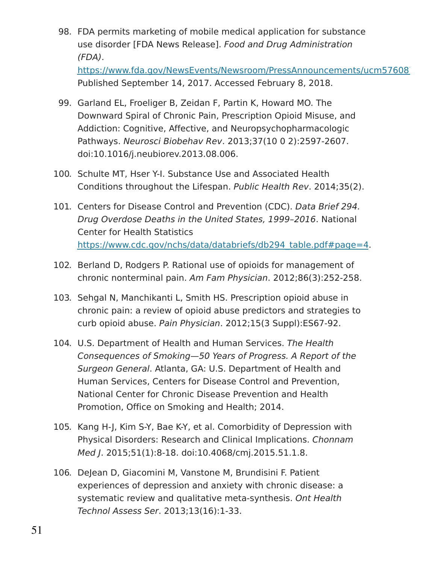- 98. FDA permits marketing of mobile medical application for substance use disorder [FDA News Release]. Food and Drug Administration (FDA). https://www.fda.gov/NewsEvents/Newsroom/PressAnnouncements/ucm57608 Published September 14, 2017. Accessed February 8, 2018.
- 99. Garland EL, Froeliger B, Zeidan F, Partin K, Howard MO. The Downward Spiral of Chronic Pain, Prescription Opioid Misuse, and Addiction: Cognitive, Affective, and Neuropsychopharmacologic Pathways. Neurosci Biobehav Rev. 2013;37(10 0 2):2597-2607. doi:10.1016/j.neubiorev.2013.08.006.
- 100. Schulte MT, Hser Y-I. Substance Use and Associated Health Conditions throughout the Lifespan. Public Health Rev. 2014;35(2).
- 101. Centers for Disease Control and Prevention (CDC). Data Brief 294. Drug Overdose Deaths in the United States, 1999–2016. National Center for Health Statistics [https://www.cdc.gov/nchs/data/databriefs/db294\\_table.pdf#page=4.](https://www.cdc.gov/nchs/data/databriefs/db294_table.pdf#page=4)
- 102. Berland D, Rodgers P. Rational use of opioids for management of chronic nonterminal pain. Am Fam Physician. 2012;86(3):252-258.
- 103. Sehgal N, Manchikanti L, Smith HS. Prescription opioid abuse in chronic pain: a review of opioid abuse predictors and strategies to curb opioid abuse. Pain Physician. 2012;15(3 Suppl):ES67-92.
- 104. U.S. Department of Health and Human Services. The Health Consequences of Smoking—50 Years of Progress. A Report of the Surgeon General. Atlanta, GA: U.S. Department of Health and Human Services, Centers for Disease Control and Prevention, National Center for Chronic Disease Prevention and Health Promotion, Office on Smoking and Health; 2014.
- 105. Kang H-J, Kim S-Y, Bae K-Y, et al. Comorbidity of Depression with Physical Disorders: Research and Clinical Implications. Chonnam Med J. 2015;51(1):8-18. doi:10.4068/cmj.2015.51.1.8.
- 106. DeJean D, Giacomini M, Vanstone M, Brundisini F. Patient experiences of depression and anxiety with chronic disease: a systematic review and qualitative meta-synthesis. Ont Health Technol Assess Ser. 2013;13(16):1-33.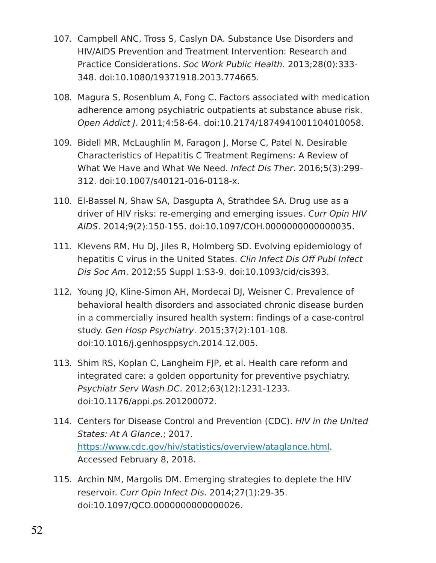- 107. Campbell ANC, Tross S, Caslyn DA. Substance Use Disorders and HIV/AIDS Prevention and Treatment Intervention: Research and Practice Considerations. Soc Work Public Health. 2013;28(0):333- 348. doi:10.1080/19371918.2013.774665.
- 108. Magura S, Rosenblum A, Fong C. Factors associated with medication adherence among psychiatric outpatients at substance abuse risk. Open Addict J. 2011;4:58-64. doi:10.2174/1874941001104010058.
- 109. Bidell MR, McLaughlin M, Faragon J, Morse C, Patel N. Desirable Characteristics of Hepatitis C Treatment Regimens: A Review of What We Have and What We Need. Infect Dis Ther. 2016;5(3):299- 312. doi:10.1007/s40121-016-0118-x.
- 110. El-Bassel N, Shaw SA, Dasgupta A, Strathdee SA. Drug use as a driver of HIV risks: re-emerging and emerging issues. Curr Opin HIV AIDS. 2014;9(2):150-155. doi:10.1097/COH.0000000000000035.
- 111. Klevens RM, Hu DJ, Jiles R, Holmberg SD. Evolving epidemiology of hepatitis C virus in the United States. Clin Infect Dis Off Publ Infect Dis Soc Am. 2012;55 Suppl 1:S3-9. doi:10.1093/cid/cis393.
- 112. Young JQ, Kline-Simon AH, Mordecai DJ, Weisner C. Prevalence of behavioral health disorders and associated chronic disease burden in a commercially insured health system: findings of a case-control study. Gen Hosp Psychiatry. 2015;37(2):101-108. doi:10.1016/j.genhosppsych.2014.12.005.
- 113. Shim RS, Koplan C, Langheim FJP, et al. Health care reform and integrated care: a golden opportunity for preventive psychiatry. Psychiatr Serv Wash DC. 2012;63(12):1231-1233. doi:10.1176/appi.ps.201200072.
- 114. Centers for Disease Control and Prevention (CDC). HIV in the United States: At A Glance.; 2017. [https://www.cdc.gov/hiv/statistics/overview/ataglance.html.](https://www.cdc.gov/hiv/statistics/overview/ataglance.html) Accessed February 8, 2018.
- 115. Archin NM, Margolis DM. Emerging strategies to deplete the HIV reservoir. Curr Opin Infect Dis. 2014;27(1):29-35. doi:10.1097/QCO.0000000000000026.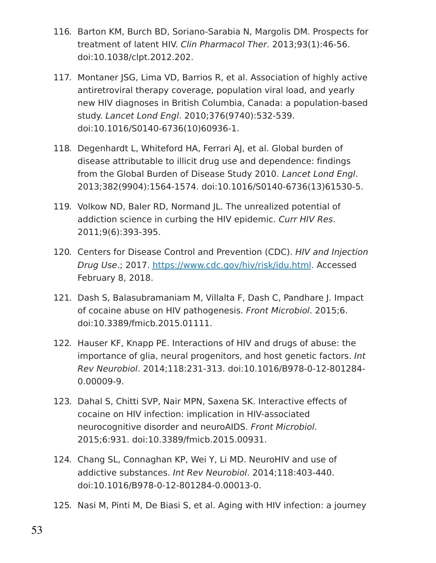- 116. Barton KM, Burch BD, Soriano-Sarabia N, Margolis DM. Prospects for treatment of latent HIV. Clin Pharmacol Ther. 2013;93(1):46-56. doi:10.1038/clpt.2012.202.
- 117. Montaner JSG, Lima VD, Barrios R, et al. Association of highly active antiretroviral therapy coverage, population viral load, and yearly new HIV diagnoses in British Columbia, Canada: a population-based study. Lancet Lond Engl. 2010;376(9740):532-539. doi:10.1016/S0140-6736(10)60936-1.
- 118. Degenhardt L, Whiteford HA, Ferrari AJ, et al. Global burden of disease attributable to illicit drug use and dependence: findings from the Global Burden of Disease Study 2010. Lancet Lond Engl. 2013;382(9904):1564-1574. doi:10.1016/S0140-6736(13)61530-5.
- 119. Volkow ND, Baler RD, Normand JL. The unrealized potential of addiction science in curbing the HIV epidemic. Curr HIV Res. 2011;9(6):393-395.
- 120. Centers for Disease Control and Prevention (CDC). HIV and Injection Drug Use.; 2017. [https://www.cdc.gov/hiv/risk/idu.html.](https://www.cdc.gov/hiv/risk/idu.html) Accessed February 8, 2018.
- 121. Dash S, Balasubramaniam M, Villalta F, Dash C, Pandhare J. Impact of cocaine abuse on HIV pathogenesis. Front Microbiol. 2015;6. doi:10.3389/fmicb.2015.01111.
- 122. Hauser KF, Knapp PE. Interactions of HIV and drugs of abuse: the importance of glia, neural progenitors, and host genetic factors. Int Rev Neurobiol. 2014;118:231-313. doi:10.1016/B978-0-12-801284- 0.00009-9.
- 123. Dahal S, Chitti SVP, Nair MPN, Saxena SK. Interactive effects of cocaine on HIV infection: implication in HIV-associated neurocognitive disorder and neuroAIDS. Front Microbiol. 2015;6:931. doi:10.3389/fmicb.2015.00931.
- 124. Chang SL, Connaghan KP, Wei Y, Li MD. NeuroHIV and use of addictive substances. Int Rev Neurobiol. 2014;118:403-440. doi:10.1016/B978-0-12-801284-0.00013-0.
- 125. Nasi M, Pinti M, De Biasi S, et al. Aging with HIV infection: a journey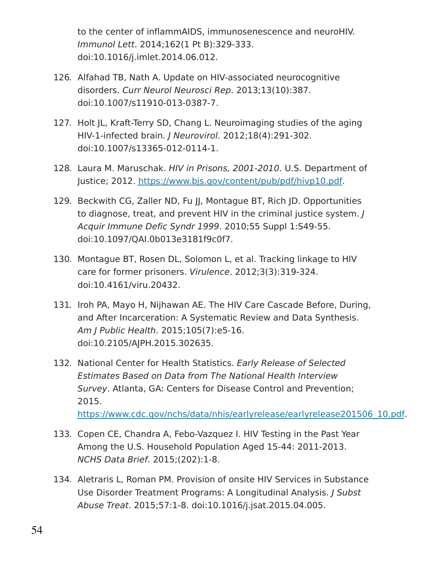to the center of inflammAIDS, immunosenescence and neuroHIV. Immunol Lett. 2014;162(1 Pt B):329-333. doi:10.1016/j.imlet.2014.06.012.

- 126. Alfahad TB, Nath A. Update on HIV-associated neurocognitive disorders. Curr Neurol Neurosci Rep. 2013;13(10):387. doi:10.1007/s11910-013-0387-7.
- 127. Holt JL, Kraft-Terry SD, Chang L. Neuroimaging studies of the aging HIV-1-infected brain. J Neurovirol. 2012;18(4):291-302. doi:10.1007/s13365-012-0114-1.
- 128. Laura M. Maruschak. HIV in Prisons, 2001-2010. U.S. Department of Justice; 2012. [https://www.bjs.gov/content/pub/pdf/hivp10.pdf.](https://www.bjs.gov/content/pub/pdf/hivp10.pdf)
- 129. Beckwith CG, Zaller ND, Fu JJ, Montague BT, Rich JD. Opportunities to diagnose, treat, and prevent HIV in the criminal justice system. J Acquir Immune Defic Syndr 1999. 2010;55 Suppl 1:S49-55. doi:10.1097/QAI.0b013e3181f9c0f7.
- 130. Montague BT, Rosen DL, Solomon L, et al. Tracking linkage to HIV care for former prisoners. Virulence. 2012;3(3):319-324. doi:10.4161/viru.20432.
- 131. Iroh PA, Mayo H, Nijhawan AE. The HIV Care Cascade Before, During, and After Incarceration: A Systematic Review and Data Synthesis. Am J Public Health. 2015;105(7):e5-16. doi:10.2105/AJPH.2015.302635.
- 132. National Center for Health Statistics. Early Release of Selected Estimates Based on Data from The National Health Interview Survey. Atlanta, GA: Centers for Disease Control and Prevention; 2015. [https://www.cdc.gov/nchs/data/nhis/earlyrelease/earlyrelease201506\\_10.pdf.](https://www.cdc.gov/nchs/data/nhis/earlyrelease/earlyrelease201506_10.pdf)
- 133. Copen CE, Chandra A, Febo-Vazquez I. HIV Testing in the Past Year Among the U.S. Household Population Aged 15-44: 2011-2013. NCHS Data Brief. 2015;(202):1-8.
- 134. Aletraris L, Roman PM. Provision of onsite HIV Services in Substance Use Disorder Treatment Programs: A Longitudinal Analysis. J Subst Abuse Treat. 2015;57:1-8. doi:10.1016/j.jsat.2015.04.005.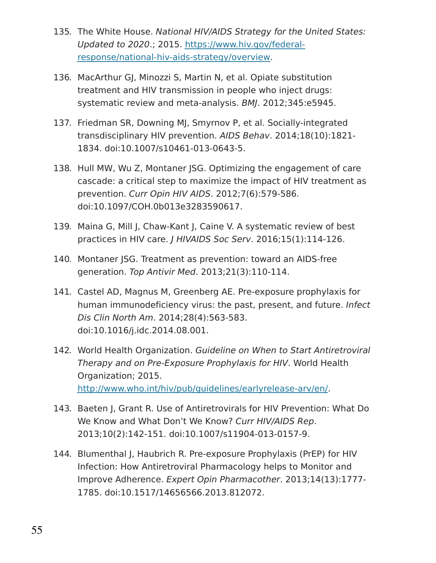- 135. The White House. National HIV/AIDS Strategy for the United States: Updated to 2020.; 2015. https://www.hiv.gov/federal[response/national-hiv-aids-strategy/overview.](https://www.hiv.gov/federal-response/national-hiv-aids-strategy/overview)
- 136. MacArthur GJ, Minozzi S, Martin N, et al. Opiate substitution treatment and HIV transmission in people who inject drugs: systematic review and meta-analysis. BMJ. 2012;345:e5945.
- 137. Friedman SR, Downing MJ, Smyrnov P, et al. Socially-integrated transdisciplinary HIV prevention. AIDS Behav. 2014;18(10):1821- 1834. doi:10.1007/s10461-013-0643-5.
- 138. Hull MW, Wu Z, Montaner JSG. Optimizing the engagement of care cascade: a critical step to maximize the impact of HIV treatment as prevention. Curr Opin HIV AIDS. 2012;7(6):579-586. doi:10.1097/COH.0b013e3283590617.
- 139. Maina G, Mill J, Chaw-Kant J, Caine V. A systematic review of best practices in HIV care. J HIVAIDS Soc Serv. 2016;15(1):114-126.
- 140. Montaner JSG. Treatment as prevention: toward an AIDS-free generation. Top Antivir Med. 2013;21(3):110-114.
- 141. Castel AD, Magnus M, Greenberg AE. Pre-exposure prophylaxis for human immunodeficiency virus: the past, present, and future. Infect Dis Clin North Am. 2014;28(4):563-583. doi:10.1016/j.idc.2014.08.001.
- 142. World Health Organization. Guideline on When to Start Antiretroviral Therapy and on Pre-Exposure Prophylaxis for HIV. World Health Organization; 2015. [http://www.who.int/hiv/pub/guidelines/earlyrelease-arv/en/.](http://www.who.int/hiv/pub/guidelines/earlyrelease-arv/en/)
- 143. Baeten J, Grant R. Use of Antiretrovirals for HIV Prevention: What Do We Know and What Don't We Know? Curr HIV/AIDS Rep. 2013;10(2):142-151. doi:10.1007/s11904-013-0157-9.
- 144. Blumenthal J, Haubrich R. Pre-exposure Prophylaxis (PrEP) for HIV Infection: How Antiretroviral Pharmacology helps to Monitor and Improve Adherence. Expert Opin Pharmacother. 2013;14(13):1777- 1785. doi:10.1517/14656566.2013.812072.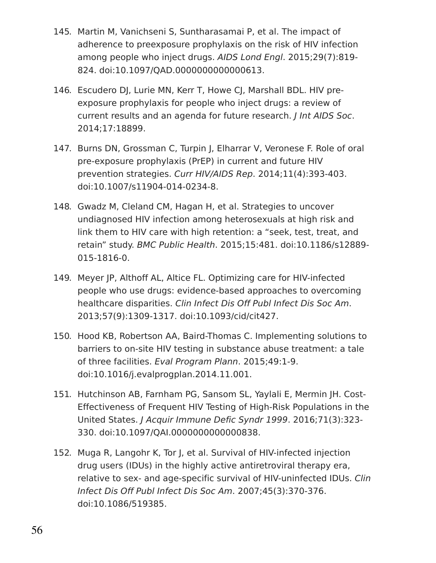- 145. Martin M, Vanichseni S, Suntharasamai P, et al. The impact of adherence to preexposure prophylaxis on the risk of HIV infection among people who inject drugs. AIDS Lond Engl. 2015;29(7):819- 824. doi:10.1097/QAD.0000000000000613.
- 146. Escudero DJ, Lurie MN, Kerr T, Howe CJ, Marshall BDL. HIV preexposure prophylaxis for people who inject drugs: a review of current results and an agenda for future research. J Int AIDS Soc. 2014;17:18899.
- 147. Burns DN, Grossman C, Turpin J, Elharrar V, Veronese F. Role of oral pre-exposure prophylaxis (PrEP) in current and future HIV prevention strategies. Curr HIV/AIDS Rep. 2014;11(4):393-403. doi:10.1007/s11904-014-0234-8.
- 148. Gwadz M, Cleland CM, Hagan H, et al. Strategies to uncover undiagnosed HIV infection among heterosexuals at high risk and link them to HIV care with high retention: a "seek, test, treat, and retain" study. BMC Public Health. 2015;15:481. doi:10.1186/s12889- 015-1816-0.
- 149. Meyer JP, Althoff AL, Altice FL. Optimizing care for HIV-infected people who use drugs: evidence-based approaches to overcoming healthcare disparities. Clin Infect Dis Off Publ Infect Dis Soc Am. 2013;57(9):1309-1317. doi:10.1093/cid/cit427.
- 150. Hood KB, Robertson AA, Baird-Thomas C. Implementing solutions to barriers to on-site HIV testing in substance abuse treatment: a tale of three facilities. Eval Program Plann. 2015;49:1-9. doi:10.1016/j.evalprogplan.2014.11.001.
- 151. Hutchinson AB, Farnham PG, Sansom SL, Yaylali E, Mermin JH. Cost-Effectiveness of Frequent HIV Testing of High-Risk Populations in the United States. J Acquir Immune Defic Syndr 1999. 2016;71(3):323- 330. doi:10.1097/QAI.0000000000000838.
- 152. Muga R, Langohr K, Tor J, et al. Survival of HIV-infected injection drug users (IDUs) in the highly active antiretroviral therapy era, relative to sex- and age-specific survival of HIV-uninfected IDUs. Clin Infect Dis Off Publ Infect Dis Soc Am. 2007;45(3):370-376. doi:10.1086/519385.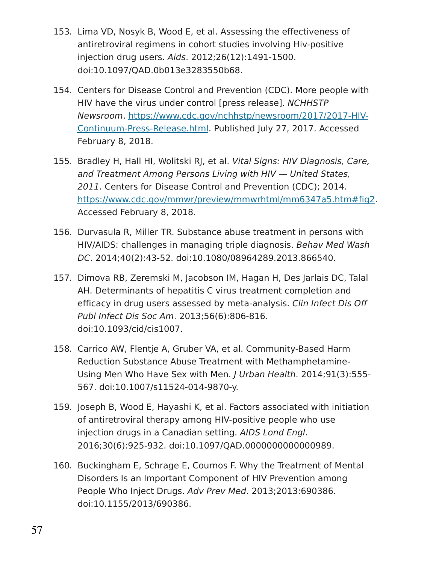- 153. Lima VD, Nosyk B, Wood E, et al. Assessing the effectiveness of antiretroviral regimens in cohort studies involving Hiv-positive injection drug users. Aids. 2012;26(12):1491-1500. doi:10.1097/QAD.0b013e3283550b68.
- 154. Centers for Disease Control and Prevention (CDC). More people with HIV have the virus under control [press release]. NCHHSTP Newsroom. [https://www.cdc.gov/nchhstp/newsroom/2017/2017-HIV-](https://www.cdc.gov/nchhstp/newsroom/2017/2017-HIV-Continuum-Press-Release.html)Continuum-Press-Release.html. Published July 27, 2017. Accessed February 8, 2018.
- 155. Bradley H, Hall HI, Wolitski RJ, et al. Vital Signs: HIV Diagnosis, Care, and Treatment Among Persons Living with HIV — United States, 2011. Centers for Disease Control and Prevention (CDC); 2014. [https://www.cdc.gov/mmwr/preview/mmwrhtml/mm6347a5.htm#fig2.](https://www.cdc.gov/mmwr/preview/mmwrhtml/mm6347a5.htm#fig2) Accessed February 8, 2018.
- 156. Durvasula R, Miller TR. Substance abuse treatment in persons with HIV/AIDS: challenges in managing triple diagnosis. Behav Med Wash DC. 2014;40(2):43-52. doi:10.1080/08964289.2013.866540.
- 157. Dimova RB, Zeremski M, Jacobson IM, Hagan H, Des Jarlais DC, Talal AH. Determinants of hepatitis C virus treatment completion and efficacy in drug users assessed by meta-analysis. Clin Infect Dis Off Publ Infect Dis Soc Am. 2013;56(6):806-816. doi:10.1093/cid/cis1007.
- 158. Carrico AW, Flentje A, Gruber VA, et al. Community-Based Harm Reduction Substance Abuse Treatment with Methamphetamine-Using Men Who Have Sex with Men. J Urban Health. 2014;91(3):555- 567. doi:10.1007/s11524-014-9870-y.
- 159. Joseph B, Wood E, Hayashi K, et al. Factors associated with initiation of antiretroviral therapy among HIV-positive people who use injection drugs in a Canadian setting. AIDS Lond Engl. 2016;30(6):925-932. doi:10.1097/QAD.0000000000000989.
- 160. Buckingham E, Schrage E, Cournos F. Why the Treatment of Mental Disorders Is an Important Component of HIV Prevention among People Who Inject Drugs. Adv Prev Med. 2013;2013:690386. doi:10.1155/2013/690386.